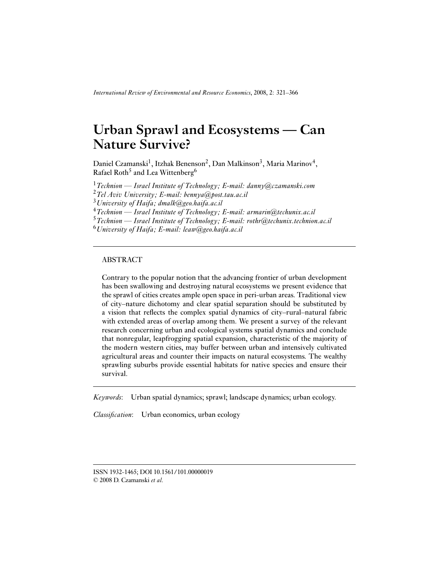# **Urban Sprawl and Ecosystems — Can Nature Survive?**

Daniel Czamanski<sup>1</sup>, Itzhak Benenson<sup>2</sup>, Dan Malkinson<sup>3</sup>, Maria Marinov<sup>4</sup>, Rafael Roth<sup>5</sup> and Lea Wittenberg<sup>6</sup>

<sup>1</sup>*Technion — Israel Institute of Technology; E-mail: danny@czamanski.com*

<sup>2</sup>*Tel Aviv University; E-mail: bennya@post.tau.ac.il*

<sup>3</sup>*University of Haifa; dmalk@geo.haifa.ac.il*

<sup>4</sup>*Technion — Israel Institute of Technology; E-mail: armarin@techunix.ac.il*

<sup>5</sup>*Technion — Israel Institute of Technology; E-mail: rothr@techunix.technion.ac.il*

<sup>6</sup>*University of Haifa; E-mail: leaw@geo.haifa.ac.il*

## ABSTRACT

Contrary to the popular notion that the advancing frontier of urban development has been swallowing and destroying natural ecosystems we present evidence that the sprawl of cities creates ample open space in peri-urban areas. Traditional view of city–nature dichotomy and clear spatial separation should be substituted by a vision that reflects the complex spatial dynamics of city–rural–natural fabric with extended areas of overlap among them. We present a survey of the relevant research concerning urban and ecological systems spatial dynamics and conclude that nonregular, leapfrogging spatial expansion, characteristic of the majority of the modern western cities, may buffer between urban and intensively cultivated agricultural areas and counter their impacts on natural ecosystems. The wealthy sprawling suburbs provide essential habitats for native species and ensure their survival.

*Keywords*: Urban spatial dynamics; sprawl; landscape dynamics; urban ecology.

*Classification*: Urban economics, urban ecology

ISSN 1932-1465; DOI 10.1561/101.00000019 © 2008 D. Czamanski *et al.*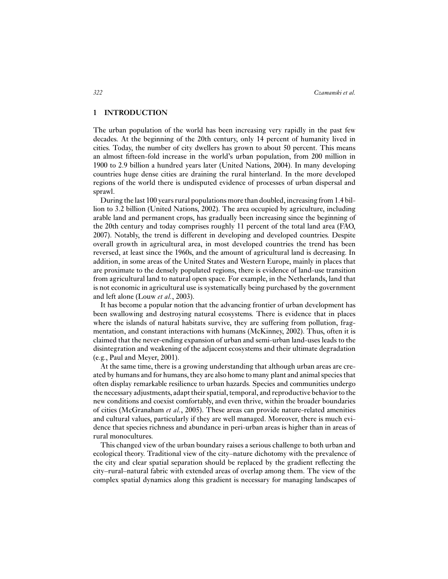# **1 INTRODUCTION**

The urban population of the world has been increasing very rapidly in the past few decades. At the beginning of the 20th century, only 14 percent of humanity lived in cities. Today, the number of city dwellers has grown to about 50 percent. This means an almost fifteen-fold increase in the world's urban population, from 200 million in 1900 to 2.9 billion a hundred years later (United Nations, 2004). In many developing countries huge dense cities are draining the rural hinterland. In the more developed regions of the world there is undisputed evidence of processes of urban dispersal and sprawl.

During the last 100 years rural populations more than doubled, increasing from 1.4 billion to 3.2 billion (United Nations, 2002). The area occupied by agriculture, including arable land and permanent crops, has gradually been increasing since the beginning of the 20th century and today comprises roughly 11 percent of the total land area (FAO, 2007). Notably, the trend is different in developing and developed countries. Despite overall growth in agricultural area, in most developed countries the trend has been reversed, at least since the 1960s, and the amount of agricultural land is decreasing. In addition, in some areas of the United States and Western Europe, mainly in places that are proximate to the densely populated regions, there is evidence of land-use transition from agricultural land to natural open space. For example, in the Netherlands, land that is not economic in agricultural use is systematically being purchased by the government and left alone (Louw *et al.*, 2003).

It has become a popular notion that the advancing frontier of urban development has been swallowing and destroying natural ecosystems. There is evidence that in places where the islands of natural habitats survive, they are suffering from pollution, fragmentation, and constant interactions with humans (McKinney, 2002). Thus, often it is claimed that the never-ending expansion of urban and semi-urban land-uses leads to the disintegration and weakening of the adjacent ecosystems and their ultimate degradation (e.g., Paul and Meyer, 2001).

At the same time, there is a growing understanding that although urban areas are created by humans and for humans, they are also home to many plant and animal species that often display remarkable resilience to urban hazards. Species and communities undergo the necessary adjustments, adapt their spatial, temporal, and reproductive behavior to the new conditions and coexist comfortably, and even thrive, within the broader boundaries of cities (McGranaham *et al.*, 2005). These areas can provide nature-related amenities and cultural values, particularly if they are well managed. Moreover, there is much evidence that species richness and abundance in peri-urban areas is higher than in areas of rural monocultures.

This changed view of the urban boundary raises a serious challenge to both urban and ecological theory. Traditional view of the city–nature dichotomy with the prevalence of the city and clear spatial separation should be replaced by the gradient reflecting the city–rural–natural fabric with extended areas of overlap among them. The view of the complex spatial dynamics along this gradient is necessary for managing landscapes of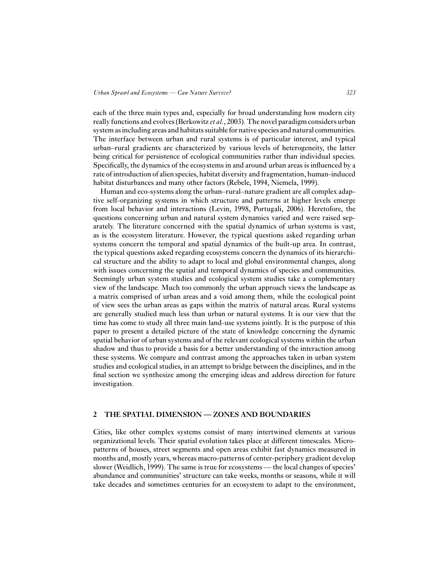each of the three main types and, especially for broad understanding how modern city really functions and evolves (Berkowitz *et al.*, 2003). The novel paradigm considers urban system as including areas and habitats suitable for native species and natural communities. The interface between urban and rural systems is of particular interest, and typical urban–rural gradients are characterized by various levels of heterogeneity, the latter being critical for persistence of ecological communities rather than individual species. Specifically, the dynamics of the ecosystems in and around urban areas is influenced by a rate of introduction of alien species, habitat diversity and fragmentation, human-induced habitat disturbances and many other factors (Rebele, 1994, Niemela, 1999).

Human and eco-systems along the urban–rural–nature gradient are all complex adaptive self-organizing systems in which structure and patterns at higher levels emerge from local behavior and interactions (Levin, 1998, Portugali, 2006). Heretofore, the questions concerning urban and natural system dynamics varied and were raised separately. The literature concerned with the spatial dynamics of urban systems is vast, as is the ecosystem literature. However, the typical questions asked regarding urban systems concern the temporal and spatial dynamics of the built-up area. In contrast, the typical questions asked regarding ecosystems concern the dynamics of its hierarchical structure and the ability to adapt to local and global environmental changes, along with issues concerning the spatial and temporal dynamics of species and communities. Seemingly urban system studies and ecological system studies take a complementary view of the landscape. Much too commonly the urban approach views the landscape as a matrix comprised of urban areas and a void among them, while the ecological point of view sees the urban areas as gaps within the matrix of natural areas. Rural systems are generally studied much less than urban or natural systems. It is our view that the time has come to study all three main land-use systems jointly. It is the purpose of this paper to present a detailed picture of the state of knowledge concerning the dynamic spatial behavior of urban systems and of the relevant ecological systems within the urban shadow and thus to provide a basis for a better understanding of the interaction among these systems. We compare and contrast among the approaches taken in urban system studies and ecological studies, in an attempt to bridge between the disciplines, and in the final section we synthesize among the emerging ideas and address direction for future investigation.

# **2 THE SPATIAL DIMENSION — ZONES AND BOUNDARIES**

Cities, like other complex systems consist of many intertwined elements at various organizational levels. Their spatial evolution takes place at different timescales. Micropatterns of houses, street segments and open areas exhibit fast dynamics measured in months and, mostly years, whereas macro-patterns of center-periphery gradient develop slower (Weidlich, 1999). The same is true for ecosystems — the local changes of species' abundance and communities' structure can take weeks, months or seasons, while it will take decades and sometimes centuries for an ecosystem to adapt to the environment,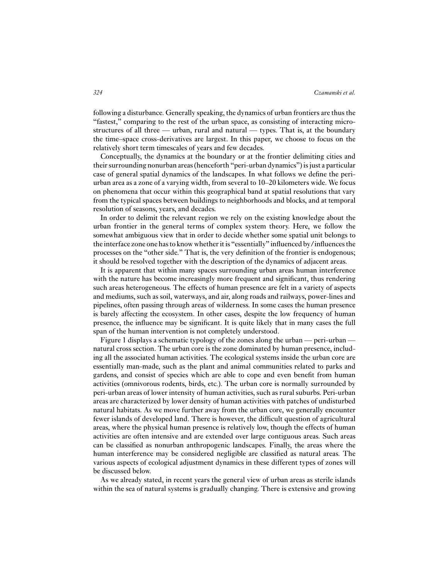following a disturbance. Generally speaking, the dynamics of urban frontiers are thus the "fastest," comparing to the rest of the urban space, as consisting of interacting microstructures of all three — urban, rural and natural — types. That is, at the boundary the time–space cross-derivatives are largest. In this paper, we choose to focus on the relatively short term timescales of years and few decades.

Conceptually, the dynamics at the boundary or at the frontier delimiting cities and their surrounding nonurban areas (henceforth "peri-urban dynamics") is just a particular case of general spatial dynamics of the landscapes. In what follows we define the periurban area as a zone of a varying width, from several to 10–20 kilometers wide. We focus on phenomena that occur within this geographical band at spatial resolutions that vary from the typical spaces between buildings to neighborhoods and blocks, and at temporal resolution of seasons, years, and decades.

In order to delimit the relevant region we rely on the existing knowledge about the urban frontier in the general terms of complex system theory. Here, we follow the somewhat ambiguous view that in order to decide whether some spatial unit belongs to the interface zone one has to know whether it is "essentially" influenced by/influences the processes on the "other side." That is, the very definition of the frontier is endogenous; it should be resolved together with the description of the dynamics of adjacent areas.

It is apparent that within many spaces surrounding urban areas human interference with the nature has become increasingly more frequent and significant, thus rendering such areas heterogeneous. The effects of human presence are felt in a variety of aspects and mediums, such as soil, waterways, and air, along roads and railways, power-lines and pipelines, often passing through areas of wilderness. In some cases the human presence is barely affecting the ecosystem. In other cases, despite the low frequency of human presence, the influence may be significant. It is quite likely that in many cases the full span of the human intervention is not completely understood.

Figure 1 displays a schematic typology of the zones along the urban — peri-urban natural cross section. The urban core is the zone dominated by human presence, including all the associated human activities. The ecological systems inside the urban core are essentially man-made, such as the plant and animal communities related to parks and gardens, and consist of species which are able to cope and even benefit from human activities (omnivorous rodents, birds, etc.). The urban core is normally surrounded by peri-urban areas of lower intensity of human activities, such as rural suburbs. Peri-urban areas are characterized by lower density of human activities with patches of undisturbed natural habitats. As we move further away from the urban core, we generally encounter fewer islands of developed land. There is however, the difficult question of agricultural areas, where the physical human presence is relatively low, though the effects of human activities are often intensive and are extended over large contiguous areas. Such areas can be classified as nonurban anthropogenic landscapes. Finally, the areas where the human interference may be considered negligible are classified as natural areas. The various aspects of ecological adjustment dynamics in these different types of zones will be discussed below.

As we already stated, in recent years the general view of urban areas as sterile islands within the sea of natural systems is gradually changing. There is extensive and growing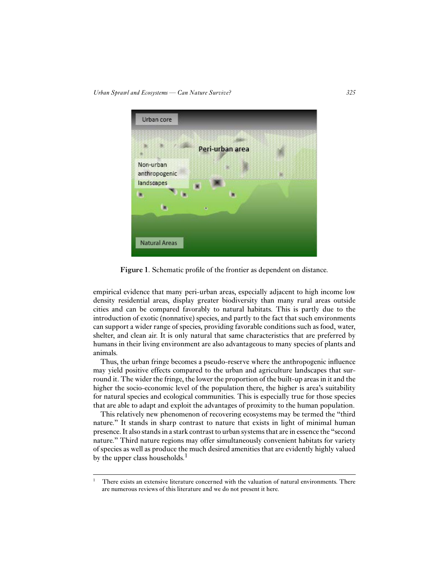*Urban Sprawl and Ecosystems — Can Nature Survive? 325*



**Figure 1**. Schematic profile of the frontier as dependent on distance.

empirical evidence that many peri-urban areas, especially adjacent to high income low density residential areas, display greater biodiversity than many rural areas outside cities and can be compared favorably to natural habitats. This is partly due to the introduction of exotic (nonnative) species, and partly to the fact that such environments can support a wider range of species, providing favorable conditions such as food, water, shelter, and clean air. It is only natural that same characteristics that are preferred by humans in their living environment are also advantageous to many species of plants and animals.

Thus, the urban fringe becomes a pseudo-reserve where the anthropogenic influence may yield positive effects compared to the urban and agriculture landscapes that surround it. The wider the fringe, the lower the proportion of the built-up areas in it and the higher the socio-economic level of the population there, the higher is area's suitability for natural species and ecological communities. This is especially true for those species that are able to adapt and exploit the advantages of proximity to the human population.

This relatively new phenomenon of recovering ecosystems may be termed the "third nature." It stands in sharp contrast to nature that exists in light of minimal human presence. It also stands in a stark contrast to urban systems that are in essence the "second nature." Third nature regions may offer simultaneously convenient habitats for variety of species as well as produce the much desired amenities that are evidently highly valued by the upper class households. $<sup>1</sup>$ </sup>

 $1$  There exists an extensive literature concerned with the valuation of natural environments. There are numerous reviews of this literature and we do not present it here.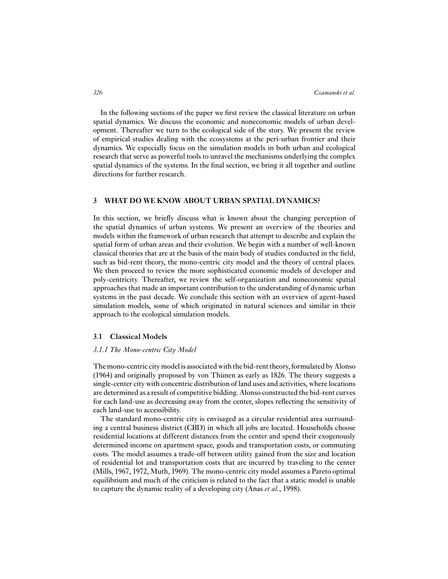In the following sections of the paper we first review the classical literature on urban spatial dynamics. We discuss the economic and noneconomic models of urban development. Thereafter we turn to the ecological side of the story. We present the review of empirical studies dealing with the ecosystems at the peri-urban frontier and their dynamics. We especially focus on the simulation models in both urban and ecological research that serve as powerful tools to unravel the mechanisms underlying the complex spatial dynamics of the systems. In the final section, we bring it all together and outline directions for further research.

# **3 WHAT DO WE KNOW ABOUT URBAN SPATIAL DYNAMICS?**

In this section, we briefly discuss what is known about the changing perception of the spatial dynamics of urban systems. We present an overview of the theories and models within the framework of urban research that attempt to describe and explain the spatial form of urban areas and their evolution. We begin with a number of well-known classical theories that are at the basis of the main body of studies conducted in the field, such as bid-rent theory, the mono-centric city model and the theory of central places. We then proceed to review the more sophisticated economic models of developer and poly-centricity. Thereafter, we review the self-organization and noneconomic spatial approaches that made an important contribution to the understanding of dynamic urban systems in the past decade. We conclude this section with an overview of agent-based simulation models, some of which originated in natural sciences and similar in their approach to the ecological simulation models.

#### **3.1 Classical Models**

#### *3.1.1 The Mono-centric City Model*

The mono-centric city model is associated with the bid-rent theory, formulated by Alonso (1964) and originally proposed by von Thünen as early as 1826. The theory suggests a single-center city with concentric distribution of land uses and activities, where locations are determined as a result of competitive bidding. Alonso constructed the bid-rent curves for each land-use as decreasing away from the center, slopes reflecting the sensitivity of each land-use to accessibility.

The standard mono-centric city is envisaged as a circular residential area surrounding a central business district (CBD) in which all jobs are located. Households choose residential locations at different distances from the center and spend their exogenously determined income on apartment space, goods and transportation costs, or commuting costs. The model assumes a trade-off between utility gained from the size and location of residential lot and transportation costs that are incurred by traveling to the center (Mills, 1967, 1972, Muth, 1969). The mono-centric city model assumes a Pareto optimal equilibrium and much of the criticism is related to the fact that a static model is unable to capture the dynamic reality of a developing city (Anas *et al.*, 1998).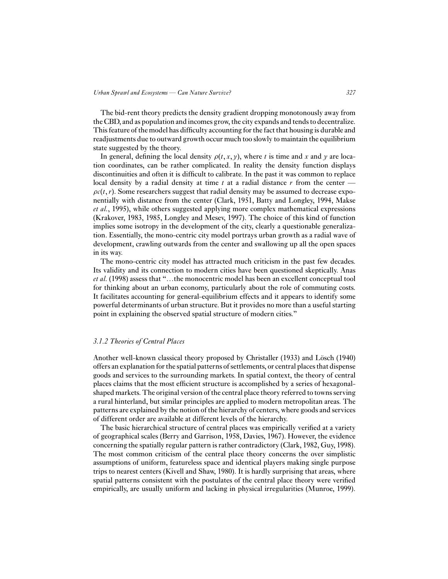The bid-rent theory predicts the density gradient dropping monotonously away from the CBD, and as population and incomes grow, the city expands and tends to decentralize. This feature of the model has difficulty accounting for the fact that housing is durable and readjustments due to outward growth occur much too slowly to maintain the equilibrium state suggested by the theory.

In general, defining the local density  $\rho(t, x, y)$ , where *t* is time and *x* and *y* are location coordinates, can be rather complicated. In reality the density function displays discontinuities and often it is difficult to calibrate. In the past it was common to replace local density by a radial density at time  $t$  at a radial distance  $r$  from the center  $\rho c(t, r)$ . Some researchers suggest that radial density may be assumed to decrease exponentially with distance from the center (Clark, 1951, Batty and Longley, 1994, Makse *et al.*, 1995), while others suggested applying more complex mathematical expressions (Krakover, 1983, 1985, Longley and Mesev, 1997). The choice of this kind of function implies some isotropy in the development of the city, clearly a questionable generalization. Essentially, the mono-centric city model portrays urban growth as a radial wave of development, crawling outwards from the center and swallowing up all the open spaces in its way.

The mono-centric city model has attracted much criticism in the past few decades. Its validity and its connection to modern cities have been questioned skeptically. Anas *et al.* (1998) assess that "…the monocentric model has been an excellent conceptual tool for thinking about an urban economy, particularly about the role of commuting costs. It facilitates accounting for general-equilibrium effects and it appears to identify some powerful determinants of urban structure. But it provides no more than a useful starting point in explaining the observed spatial structure of modern cities."

#### *3.1.2 Theories of Central Places*

Another well-known classical theory proposed by Christaller (1933) and Lösch (1940) offers an explanation for the spatial patterns of settlements, or central places that dispense goods and services to the surrounding markets. In spatial context, the theory of central places claims that the most efficient structure is accomplished by a series of hexagonalshaped markets. The original version of the central place theory referred to towns serving a rural hinterland, but similar principles are applied to modern metropolitan areas. The patterns are explained by the notion of the hierarchy of centers, where goods and services of different order are available at different levels of the hierarchy.

The basic hierarchical structure of central places was empirically verified at a variety of geographical scales (Berry and Garrison, 1958, Davies, 1967). However, the evidence concerning the spatially regular pattern is rather contradictory (Clark, 1982, Guy, 1998). The most common criticism of the central place theory concerns the over simplistic assumptions of uniform, featureless space and identical players making single purpose trips to nearest centers (Kivell and Shaw, 1980). It is hardly surprising that areas, where spatial patterns consistent with the postulates of the central place theory were verified empirically, are usually uniform and lacking in physical irregularities (Munroe, 1999).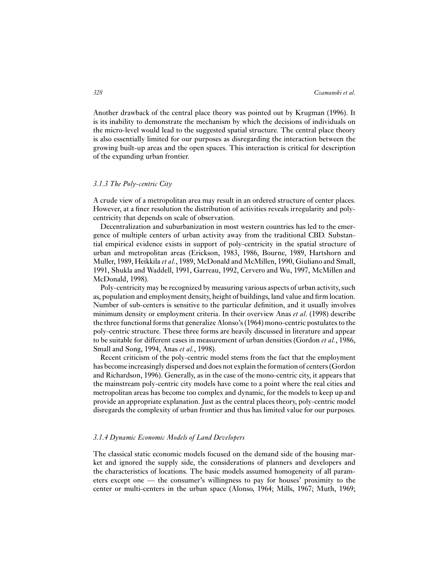Another drawback of the central place theory was pointed out by Krugman (1996). It is its inability to demonstrate the mechanism by which the decisions of individuals on the micro-level would lead to the suggested spatial structure. The central place theory is also essentially limited for our purposes as disregarding the interaction between the growing built-up areas and the open spaces. This interaction is critical for description of the expanding urban frontier.

# *3.1.3 The Poly-centric City*

A crude view of a metropolitan area may result in an ordered structure of center places. However, at a finer resolution the distribution of activities reveals irregularity and polycentricity that depends on scale of observation.

Decentralization and suburbanization in most western countries has led to the emergence of multiple centers of urban activity away from the traditional CBD. Substantial empirical evidence exists in support of poly-centricity in the spatial structure of urban and metropolitan areas (Erickson, 1983, 1986, Bourne, 1989, Hartshorn and Muller, 1989, Heikkila *et al.*, 1989, McDonald and McMillen, 1990, Giuliano and Small, 1991, Shukla and Waddell, 1991, Garreau, 1992, Cervero and Wu, 1997, McMillen and McDonald, 1998).

Poly-centricity may be recognized by measuring various aspects of urban activity, such as, population and employment density, height of buildings, land value and firm location. Number of sub-centers is sensitive to the particular definition, and it usually involves minimum density or employment criteria. In their overview Anas *et al.* (1998) describe the three functional forms that generalize Alonso's (1964) mono-centric postulates to the poly-centric structure. These three forms are heavily discussed in literature and appear to be suitable for different cases in measurement of urban densities (Gordon *et al.*, 1986, Small and Song, 1994, Anas *et al.*, 1998).

Recent criticism of the poly-centric model stems from the fact that the employment has become increasingly dispersed and does not explain the formation of centers (Gordon and Richardson, 1996). Generally, as in the case of the mono-centric city, it appears that the mainstream poly-centric city models have come to a point where the real cities and metropolitan areas has become too complex and dynamic, for the models to keep up and provide an appropriate explanation. Just as the central places theory, poly-centric model disregards the complexity of urban frontier and thus has limited value for our purposes.

#### *3.1.4 Dynamic Economic Models of Land Developers*

The classical static economic models focused on the demand side of the housing market and ignored the supply side, the considerations of planners and developers and the characteristics of locations. The basic models assumed homogeneity of all parameters except one — the consumer's willingness to pay for houses' proximity to the center or multi-centers in the urban space (Alonso, 1964; Mills, 1967; Muth, 1969;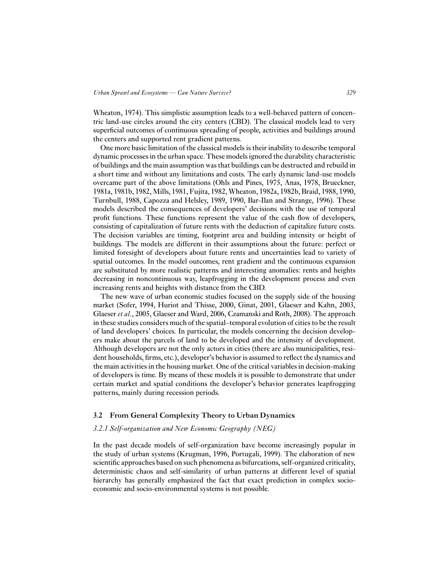Wheaton, 1974). This simplistic assumption leads to a well-behaved pattern of concentric land-use circles around the city centers (CBD). The classical models lead to very superficial outcomes of continuous spreading of people, activities and buildings around the centers and supported rent gradient patterns.

One more basic limitation of the classical models is their inability to describe temporal dynamic processes in the urban space. These models ignored the durability characteristic of buildings and the main assumption was that buildings can be destructed and rebuild in a short time and without any limitations and costs. The early dynamic land-use models overcame part of the above limitations (Ohls and Pines, 1975, Anas, 1978, Brueckner, 1981a, 1981b, 1982, Mills, 1981, Fujita, 1982, Wheaton, 1982a, 1982b, Braid, 1988, 1990, Turnbull, 1988, Capozza and Helsley, 1989, 1990, Bar-Ilan and Strange, 1996). These models described the consequences of developers' decisions with the use of temporal profit functions. These functions represent the value of the cash flow of developers, consisting of capitalization of future rents with the deduction of capitalize future costs. The decision variables are timing, footprint area and building intensity or height of buildings. The models are different in their assumptions about the future: perfect or limited foresight of developers about future rents and uncertainties lead to variety of spatial outcomes. In the model outcomes, rent gradient and the continuous expansion are substituted by more realistic patterns and interesting anomalies: rents and heights decreasing in noncontinuous way, leapfrogging in the development process and even increasing rents and heights with distance from the CBD.

The new wave of urban economic studies focused on the supply side of the housing market (Sofer, 1994, Huriot and Thisse, 2000, Ginat, 2001, Glaeser and Kahn, 2003, Glaeser *et al.*, 2005, Glaeser and Ward, 2006, Czamanski and Roth, 2008). The approach in these studies considers much of the spatial–temporal evolution of cities to be the result of land developers' choices. In particular, the models concerning the decision developers make about the parcels of land to be developed and the intensity of development. Although developers are not the only actors in cities (there are also municipalities, resident households, firms, etc.), developer's behavior is assumed to reflect the dynamics and the main activities in the housing market. One of the critical variables in decision-making of developers is time. By means of these models it is possible to demonstrate that under certain market and spatial conditions the developer's behavior generates leapfrogging patterns, mainly during recession periods.

# **3.2 From General Complexity Theory to Urban Dynamics**

# *3.2.1 Self-organization and New Economic Geography (NEG)*

In the past decade models of self-organization have become increasingly popular in the study of urban systems (Krugman, 1996, Portugali, 1999). The elaboration of new scientific approaches based on such phenomena as bifurcations, self-organized criticality, deterministic chaos and self-similarity of urban patterns at different level of spatial hierarchy has generally emphasized the fact that exact prediction in complex socioeconomic and socio-environmental systems is not possible.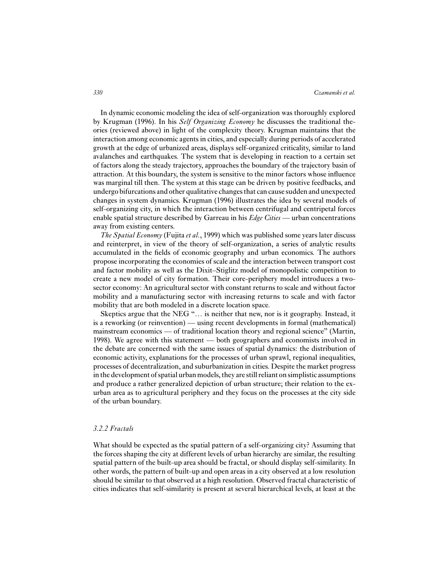In dynamic economic modeling the idea of self-organization was thoroughly explored by Krugman (1996). In his *Self Organizing Economy* he discusses the traditional theories (reviewed above) in light of the complexity theory. Krugman maintains that the interaction among economic agents in cities, and especially during periods of accelerated growth at the edge of urbanized areas, displays self-organized criticality, similar to land avalanches and earthquakes. The system that is developing in reaction to a certain set of factors along the steady trajectory, approaches the boundary of the trajectory basin of attraction. At this boundary, the system is sensitive to the minor factors whose influence was marginal till then. The system at this stage can be driven by positive feedbacks, and undergo bifurcations and other qualitative changes that can cause sudden and unexpected changes in system dynamics. Krugman (1996) illustrates the idea by several models of self-organizing city, in which the interaction between centrifugal and centripetal forces enable spatial structure described by Garreau in his *Edge Cities* — urban concentrations away from existing centers.

*The Spatial Economy* (Fujita *et al.*, 1999) which was published some years later discuss and reinterpret, in view of the theory of self-organization, a series of analytic results accumulated in the fields of economic geography and urban economics. The authors propose incorporating the economies of scale and the interaction between transport cost and factor mobility as well as the Dixit–Stiglitz model of monopolistic competition to create a new model of city formation. Their core-periphery model introduces a twosector economy: An agricultural sector with constant returns to scale and without factor mobility and a manufacturing sector with increasing returns to scale and with factor mobility that are both modeled in a discrete location space.

Skeptics argue that the NEG "… is neither that new, nor is it geography. Instead, it is a reworking (or reinvention) — using recent developments in formal (mathematical) mainstream economics — of traditional location theory and regional science" (Martin, 1998). We agree with this statement — both geographers and economists involved in the debate are concerned with the same issues of spatial dynamics: the distribution of economic activity, explanations for the processes of urban sprawl, regional inequalities, processes of decentralization, and suburbanization in cities. Despite the market progress in the development of spatial urban models, they are still reliant on simplistic assumptions and produce a rather generalized depiction of urban structure; their relation to the exurban area as to agricultural periphery and they focus on the processes at the city side of the urban boundary.

#### *3.2.2 Fractals*

What should be expected as the spatial pattern of a self-organizing city? Assuming that the forces shaping the city at different levels of urban hierarchy are similar, the resulting spatial pattern of the built-up area should be fractal, or should display self-similarity. In other words, the pattern of built-up and open areas in a city observed at a low resolution should be similar to that observed at a high resolution. Observed fractal characteristic of cities indicates that self-similarity is present at several hierarchical levels, at least at the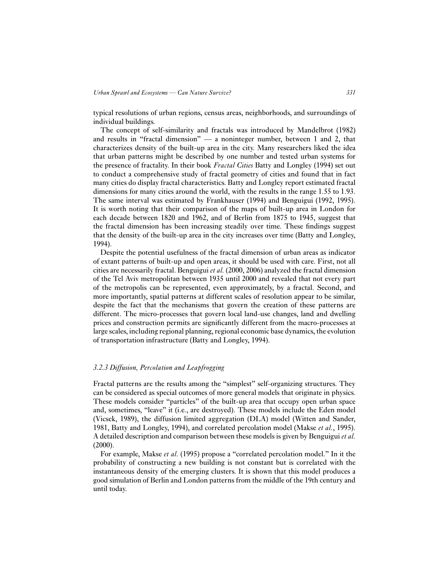typical resolutions of urban regions, census areas, neighborhoods, and surroundings of individual buildings.

The concept of self-similarity and fractals was introduced by Mandelbrot (1982) and results in "fractal dimension" — a noninteger number, between 1 and 2, that characterizes density of the built-up area in the city. Many researchers liked the idea that urban patterns might be described by one number and tested urban systems for the presence of fractality. In their book *Fractal Cities* Batty and Longley (1994) set out to conduct a comprehensive study of fractal geometry of cities and found that in fact many cities do display fractal characteristics. Batty and Longley report estimated fractal dimensions for many cities around the world, with the results in the range 1.55 to 1.93. The same interval was estimated by Frankhauser (1994) and Benguigui (1992, 1995). It is worth noting that their comparison of the maps of built-up area in London for each decade between 1820 and 1962, and of Berlin from 1875 to 1945, suggest that the fractal dimension has been increasing steadily over time. These findings suggest that the density of the built-up area in the city increases over time (Batty and Longley, 1994).

Despite the potential usefulness of the fractal dimension of urban areas as indicator of extant patterns of built-up and open areas, it should be used with care. First, not all cities are necessarily fractal. Benguigui *et al.* (2000, 2006) analyzed the fractal dimension of the Tel Aviv metropolitan between 1935 until 2000 and revealed that not every part of the metropolis can be represented, even approximately, by a fractal. Second, and more importantly, spatial patterns at different scales of resolution appear to be similar, despite the fact that the mechanisms that govern the creation of these patterns are different. The micro-processes that govern local land-use changes, land and dwelling prices and construction permits are significantly different from the macro-processes at large scales, including regional planning, regional economic base dynamics, the evolution of transportation infrastructure (Batty and Longley, 1994).

# *3.2.3 Diffusion, Percolation and Leapfrogging*

Fractal patterns are the results among the "simplest" self-organizing structures. They can be considered as special outcomes of more general models that originate in physics. These models consider "particles" of the built-up area that occupy open urban space and, sometimes, "leave" it (i.e., are destroyed). These models include the Eden model (Vicsek, 1989), the diffusion limited aggregation (DLA) model (Witten and Sander, 1981, Batty and Longley, 1994), and correlated percolation model (Makse *et al.*, 1995). A detailed description and comparison between these models is given by Benguigui *et al.* (2000).

For example, Makse *et al.* (1995) propose a "correlated percolation model." In it the probability of constructing a new building is not constant but is correlated with the instantaneous density of the emerging clusters. It is shown that this model produces a good simulation of Berlin and London patterns from the middle of the 19th century and until today.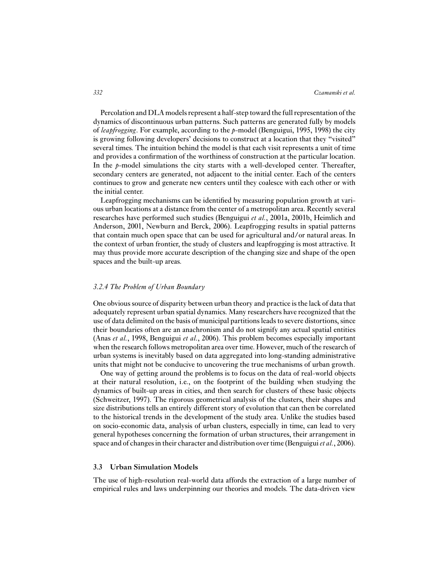Percolation and DLA models represent a half-step toward the full representation of the dynamics of discontinuous urban patterns. Such patterns are generated fully by models of *leapfrogging*. For example, according to the *p*-model (Benguigui, 1995, 1998) the city is growing following developers' decisions to construct at a location that they "visited" several times. The intuition behind the model is that each visit represents a unit of time and provides a confirmation of the worthiness of construction at the particular location. In the *p*-model simulations the city starts with a well-developed center. Thereafter, secondary centers are generated, not adjacent to the initial center. Each of the centers continues to grow and generate new centers until they coalesce with each other or with the initial center.

Leapfrogging mechanisms can be identified by measuring population growth at various urban locations at a distance from the center of a metropolitan area. Recently several researches have performed such studies (Benguigui *et al.*, 2001a, 2001b, Heimlich and Anderson, 2001, Newburn and Berck, 2006). Leapfrogging results in spatial patterns that contain much open space that can be used for agricultural and/or natural areas. In the context of urban frontier, the study of clusters and leapfrogging is most attractive. It may thus provide more accurate description of the changing size and shape of the open spaces and the built-up areas.

#### *3.2.4 The Problem of Urban Boundary*

One obvious source of disparity between urban theory and practice is the lack of data that adequately represent urban spatial dynamics. Many researchers have recognized that the use of data delimited on the basis of municipal partitions leads to severe distortions, since their boundaries often are an anachronism and do not signify any actual spatial entities (Anas *et al.*, 1998, Benguigui *et al.*, 2006). This problem becomes especially important when the research follows metropolitan area over time. However, much of the research of urban systems is inevitably based on data aggregated into long-standing administrative units that might not be conducive to uncovering the true mechanisms of urban growth.

One way of getting around the problems is to focus on the data of real-world objects at their natural resolution, i.e., on the footprint of the building when studying the dynamics of built-up areas in cities, and then search for clusters of these basic objects (Schweitzer, 1997). The rigorous geometrical analysis of the clusters, their shapes and size distributions tells an entirely different story of evolution that can then be correlated to the historical trends in the development of the study area. Unlike the studies based on socio-economic data, analysis of urban clusters, especially in time, can lead to very general hypotheses concerning the formation of urban structures, their arrangement in space and of changes in their character and distribution over time (Benguigui*et al.*, 2006).

#### **3.3 Urban Simulation Models**

The use of high-resolution real-world data affords the extraction of a large number of empirical rules and laws underpinning our theories and models. The data-driven view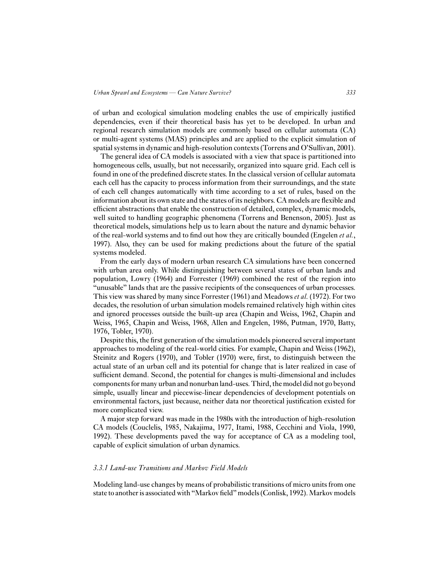of urban and ecological simulation modeling enables the use of empirically justified dependencies, even if their theoretical basis has yet to be developed. In urban and regional research simulation models are commonly based on cellular automata (CA) or multi-agent systems (MAS) principles and are applied to the explicit simulation of spatial systems in dynamic and high-resolution contexts (Torrens and O'Sullivan, 2001).

The general idea of CA models is associated with a view that space is partitioned into homogeneous cells, usually, but not necessarily, organized into square grid. Each cell is found in one of the predefined discrete states. In the classical version of cellular automata each cell has the capacity to process information from their surroundings, and the state of each cell changes automatically with time according to a set of rules, based on the information about its own state and the states of its neighbors. CA models are flexible and efficient abstractions that enable the construction of detailed, complex, dynamic models, well suited to handling geographic phenomena (Torrens and Benenson, 2005). Just as theoretical models, simulations help us to learn about the nature and dynamic behavior of the real-world systems and to find out how they are critically bounded (Engelen *et al.*, 1997). Also, they can be used for making predictions about the future of the spatial systems modeled.

From the early days of modern urban research CA simulations have been concerned with urban area only. While distinguishing between several states of urban lands and population, Lowry (1964) and Forrester (1969) combined the rest of the region into "unusable" lands that are the passive recipients of the consequences of urban processes. This view was shared by many since Forrester (1961) and Meadows *et al.* (1972). For two decades, the resolution of urban simulation models remained relatively high within cites and ignored processes outside the built-up area (Chapin and Weiss, 1962, Chapin and Weiss, 1965, Chapin and Weiss, 1968, Allen and Engelen, 1986, Putman, 1970, Batty, 1976, Tobler, 1970).

Despite this, the first generation of the simulation models pioneered several important approaches to modeling of the real-world cities. For example, Chapin and Weiss (1962), Steinitz and Rogers (1970), and Tobler (1970) were, first, to distinguish between the actual state of an urban cell and its potential for change that is later realized in case of sufficient demand. Second, the potential for changes is multi-dimensional and includes components for many urban and nonurban land-uses. Third, the model did not go beyond simple, usually linear and piecewise-linear dependencies of development potentials on environmental factors, just because, neither data nor theoretical justification existed for more complicated view.

A major step forward was made in the 1980s with the introduction of high-resolution CA models (Couclelis, 1985, Nakajima, 1977, Itami, 1988, Cecchini and Viola, 1990, 1992). These developments paved the way for acceptance of CA as a modeling tool, capable of explicit simulation of urban dynamics.

# *3.3.1 Land-use Transitions and Markov Field Models*

Modeling land-use changes by means of probabilistic transitions of micro units from one state to another is associated with "Markov field" models (Conlisk, 1992). Markov models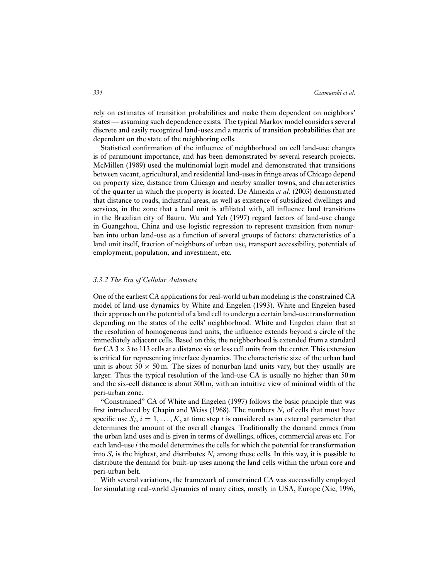rely on estimates of transition probabilities and make them dependent on neighbors' states — assuming such dependence exists. The typical Markov model considers several discrete and easily recognized land-uses and a matrix of transition probabilities that are dependent on the state of the neighboring cells.

Statistical confirmation of the influence of neighborhood on cell land-use changes is of paramount importance, and has been demonstrated by several research projects. McMillen (1989) used the multinomial logit model and demonstrated that transitions between vacant, agricultural, and residential land-uses in fringe areas of Chicago depend on property size, distance from Chicago and nearby smaller towns, and characteristics of the quarter in which the property is located. De Almeida *et al.* (2003) demonstrated that distance to roads, industrial areas, as well as existence of subsidized dwellings and services, in the zone that a land unit is affiliated with, all influence land transitions in the Brazilian city of Bauru. Wu and Yeh (1997) regard factors of land-use change in Guangzhou, China and use logistic regression to represent transition from nonurban into urban land-use as a function of several groups of factors: characteristics of a land unit itself, fraction of neighbors of urban use, transport accessibility, potentials of employment, population, and investment, etc.

#### *3.3.2 The Era of Cellular Automata*

One of the earliest CA applications for real-world urban modeling is the constrained CA model of land-use dynamics by White and Engelen (1993). White and Engelen based their approach on the potential of a land cell to undergo a certain land-use transformation depending on the states of the cells' neighborhood. White and Engelen claim that at the resolution of homogeneous land units, the influence extends beyond a circle of the immediately adjacent cells. Based on this, the neighborhood is extended from a standard for CA  $3 \times 3$  to 113 cells at a distance six or less cell units from the center. This extension is critical for representing interface dynamics. The characteristic size of the urban land unit is about  $50 \times 50$  m. The sizes of nonurban land units vary, but they usually are larger. Thus the typical resolution of the land-use CA is usually no higher than 50 m and the six-cell distance is about 300 m, with an intuitive view of minimal width of the peri-urban zone.

"Constrained" CA of White and Engelen (1997) follows the basic principle that was first introduced by Chapin and Weiss (1968). The numbers  $N_i$  of cells that must have specific use  $S_i$ ,  $i = 1, \ldots, K$ , at time step *t* is considered as an external parameter that determines the amount of the overall changes. Traditionally the demand comes from the urban land uses and is given in terms of dwellings, offices, commercial areas etc. For each land-use *i* the model determines the cells for which the potential for transformation into  $S_i$  is the highest, and distributes  $N_i$  among these cells. In this way, it is possible to distribute the demand for built-up uses among the land cells within the urban core and peri-urban belt.

With several variations, the framework of constrained CA was successfully employed for simulating real-world dynamics of many cities, mostly in USA, Europe (Xie, 1996,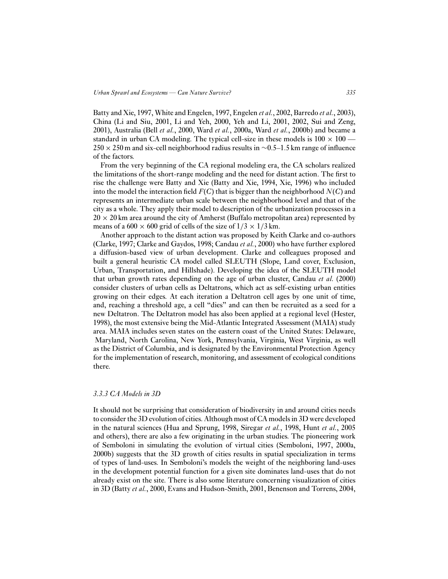Batty and Xie, 1997, White and Engelen, 1997, Engelen *et al.*, 2002, Barredo *et al.*, 2003), China (Li and Siu, 2001, Li and Yeh, 2000, Yeh and Li, 2001, 2002, Sui and Zeng, 2001), Australia (Bell *et al.*, 2000, Ward *et al.*, 2000a, Ward *et al.*, 2000b) and became a standard in urban CA modeling. The typical cell-size in these models is  $100 \times 100$  — 250 × 250 m and six-cell neighborhood radius results in ∼0.5–1.5 km range of influence of the factors.

From the very beginning of the CA regional modeling era, the CA scholars realized the limitations of the short-range modeling and the need for distant action. The first to rise the challenge were Batty and Xie (Batty and Xie, 1994, Xie, 1996) who included into the model the interaction field  $F(C)$  that is bigger than the neighborhood  $N(C)$  and represents an intermediate urban scale between the neighborhood level and that of the city as a whole. They apply their model to description of the urbanization processes in a  $20 \times 20$  km area around the city of Amherst (Buffalo metropolitan area) represented by means of a  $600 \times 600$  grid of cells of the size of  $1/3 \times 1/3$  km.

Another approach to the distant action was proposed by Keith Clarke and co-authors (Clarke, 1997; Clarke and Gaydos, 1998; Candau *et al.*, 2000) who have further explored a diffusion-based view of urban development. Clarke and colleagues proposed and built a general heuristic CA model called SLEUTH (Slope, Land cover, Exclusion, Urban, Transportation, and Hillshade). Developing the idea of the SLEUTH model that urban growth rates depending on the age of urban cluster, Candau *et al.* (2000) consider clusters of urban cells as Deltatrons, which act as self-existing urban entities growing on their edges. At each iteration a Deltatron cell ages by one unit of time, and, reaching a threshold age, a cell "dies" and can then be recruited as a seed for a new Deltatron. The Deltatron model has also been applied at a regional level (Hester, 1998), the most extensive being the Mid-Atlantic Integrated Assessment (MAIA) study area. MAIA includes seven states on the eastern coast of the United States: Delaware, Maryland, North Carolina, New York, Pennsylvania, Virginia, West Virginia, as well as the District of Columbia, and is designated by the Environmental Protection Agency for the implementation of research, monitoring, and assessment of ecological conditions there.

# *3.3.3 CA Models in 3D*

It should not be surprising that consideration of biodiversity in and around cities needs to consider the 3D evolution of cities. Although most of CA models in 3D were developed in the natural sciences (Hua and Sprung, 1998, Siregar *et al.*, 1998, Hunt *et al.*, 2005 and others), there are also a few originating in the urban studies. The pioneering work of Semboloni in simulating the evolution of virtual cities (Semboloni, 1997, 2000a, 2000b) suggests that the 3D growth of cities results in spatial specialization in terms of types of land-uses. In Semboloni's models the weight of the neighboring land-uses in the development potential function for a given site dominates land-uses that do not already exist on the site. There is also some literature concerning visualization of cities in 3D (Batty *et al.*, 2000, Evans and Hudson-Smith, 2001, Benenson and Torrens, 2004,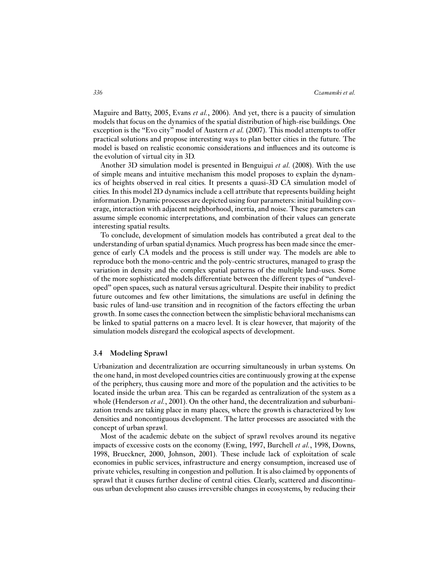Maguire and Batty, 2005, Evans *et al.*, 2006). And yet, there is a paucity of simulation models that focus on the dynamics of the spatial distribution of high-rise buildings. One exception is the "Evo city" model of Austern *et al.* (2007). This model attempts to offer practical solutions and propose interesting ways to plan better cities in the future. The model is based on realistic economic considerations and influences and its outcome is the evolution of virtual city in 3D.

Another 3D simulation model is presented in Benguigui *et al.* (2008). With the use of simple means and intuitive mechanism this model proposes to explain the dynamics of heights observed in real cities. It presents a quasi-3D CA simulation model of cities. In this model 2D dynamics include a cell attribute that represents building height information. Dynamic processes are depicted using four parameters: initial building coverage, interaction with adjacent neighborhood, inertia, and noise. These parameters can assume simple economic interpretations, and combination of their values can generate interesting spatial results.

To conclude, development of simulation models has contributed a great deal to the understanding of urban spatial dynamics. Much progress has been made since the emergence of early CA models and the process is still under way. The models are able to reproduce both the mono-centric and the poly-centric structures, managed to grasp the variation in density and the complex spatial patterns of the multiple land-uses. Some of the more sophisticated models differentiate between the different types of "undeveloped" open spaces, such as natural versus agricultural. Despite their inability to predict future outcomes and few other limitations, the simulations are useful in defining the basic rules of land-use transition and in recognition of the factors effecting the urban growth. In some cases the connection between the simplistic behavioral mechanisms can be linked to spatial patterns on a macro level. It is clear however, that majority of the simulation models disregard the ecological aspects of development.

#### **3.4 Modeling Sprawl**

Urbanization and decentralization are occurring simultaneously in urban systems. On the one hand, in most developed countries cities are continuously growing at the expense of the periphery, thus causing more and more of the population and the activities to be located inside the urban area. This can be regarded as centralization of the system as a whole (Henderson *et al.*, 2001). On the other hand, the decentralization and suburbanization trends are taking place in many places, where the growth is characterized by low densities and noncontiguous development. The latter processes are associated with the concept of urban sprawl.

Most of the academic debate on the subject of sprawl revolves around its negative impacts of excessive costs on the economy (Ewing, 1997, Burchell *et al.*, 1998, Downs, 1998, Brueckner, 2000, Johnson, 2001). These include lack of exploitation of scale economies in public services, infrastructure and energy consumption, increased use of private vehicles, resulting in congestion and pollution. It is also claimed by opponents of sprawl that it causes further decline of central cities. Clearly, scattered and discontinuous urban development also causes irreversible changes in ecosystems, by reducing their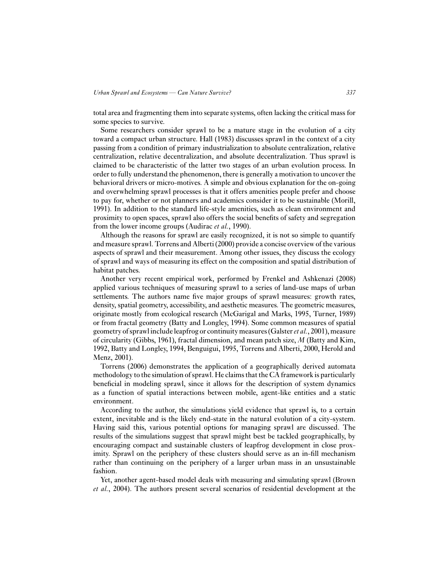total area and fragmenting them into separate systems, often lacking the critical mass for some species to survive.

Some researchers consider sprawl to be a mature stage in the evolution of a city toward a compact urban structure. Hall (1983) discusses sprawl in the context of a city passing from a condition of primary industrialization to absolute centralization, relative centralization, relative decentralization, and absolute decentralization. Thus sprawl is claimed to be characteristic of the latter two stages of an urban evolution process. In order to fully understand the phenomenon, there is generally a motivation to uncover the behavioral drivers or micro-motives. A simple and obvious explanation for the on-going and overwhelming sprawl processes is that it offers amenities people prefer and choose to pay for, whether or not planners and academics consider it to be sustainable (Morill, 1991). In addition to the standard life-style amenities, such as clean environment and proximity to open spaces, sprawl also offers the social benefits of safety and segregation from the lower income groups (Audirac *et al.*, 1990).

Although the reasons for sprawl are easily recognized, it is not so simple to quantify and measure sprawl. Torrens and Alberti (2000) provide a concise overview of the various aspects of sprawl and their measurement. Among other issues, they discuss the ecology of sprawl and ways of measuring its effect on the composition and spatial distribution of habitat patches.

Another very recent empirical work, performed by Frenkel and Ashkenazi (2008) applied various techniques of measuring sprawl to a series of land-use maps of urban settlements. The authors name five major groups of sprawl measures: growth rates, density, spatial geometry, accessibility, and aesthetic measures. The geometric measures, originate mostly from ecological research (McGarigal and Marks, 1995, Turner, 1989) or from fractal geometry (Batty and Longley, 1994). Some common measures of spatial geometry of sprawl include leapfrog or continuity measures (Galster*et al.*, 2001), measure of circularity (Gibbs, 1961), fractal dimension, and mean patch size, *M* (Batty and Kim, 1992, Batty and Longley, 1994, Benguigui, 1995, Torrens and Alberti, 2000, Herold and Menz, 2001).

Torrens (2006) demonstrates the application of a geographically derived automata methodology to the simulation of sprawl. He claims that the CA framework is particularly beneficial in modeling sprawl, since it allows for the description of system dynamics as a function of spatial interactions between mobile, agent-like entities and a static environment.

According to the author, the simulations yield evidence that sprawl is, to a certain extent, inevitable and is the likely end-state in the natural evolution of a city-system. Having said this, various potential options for managing sprawl are discussed. The results of the simulations suggest that sprawl might best be tackled geographically, by encouraging compact and sustainable clusters of leapfrog development in close proximity. Sprawl on the periphery of these clusters should serve as an in-fill mechanism rather than continuing on the periphery of a larger urban mass in an unsustainable fashion.

Yet, another agent-based model deals with measuring and simulating sprawl (Brown *et al.*, 2004). The authors present several scenarios of residential development at the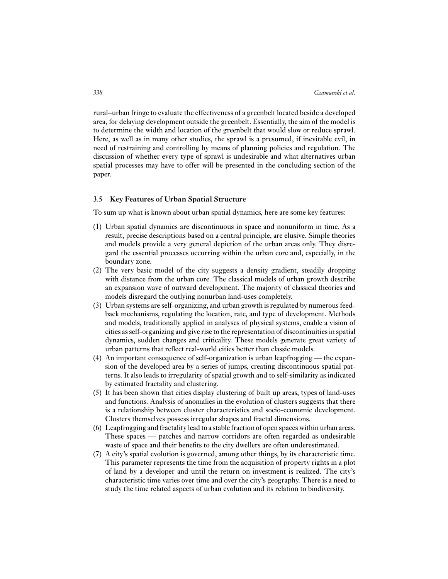rural–urban fringe to evaluate the effectiveness of a greenbelt located beside a developed area, for delaying development outside the greenbelt. Essentially, the aim of the model is to determine the width and location of the greenbelt that would slow or reduce sprawl. Here, as well as in many other studies, the sprawl is a presumed, if inevitable evil, in need of restraining and controlling by means of planning policies and regulation. The discussion of whether every type of sprawl is undesirable and what alternatives urban spatial processes may have to offer will be presented in the concluding section of the paper.

# **3.5 Key Features of Urban Spatial Structure**

To sum up what is known about urban spatial dynamics, here are some key features:

- (1) Urban spatial dynamics are discontinuous in space and nonuniform in time. As a result, precise descriptions based on a central principle, are elusive. Simple theories and models provide a very general depiction of the urban areas only. They disregard the essential processes occurring within the urban core and, especially, in the boundary zone.
- (2) The very basic model of the city suggests a density gradient, steadily dropping with distance from the urban core. The classical models of urban growth describe an expansion wave of outward development. The majority of classical theories and models disregard the outlying nonurban land-uses completely.
- (3) Urban systems are self-organizing, and urban growth is regulated by numerous feedback mechanisms, regulating the location, rate, and type of development. Methods and models, traditionally applied in analyses of physical systems, enable a vision of cities as self-organizing and give rise to the representation of discontinuities in spatial dynamics, sudden changes and criticality. These models generate great variety of urban patterns that reflect real-world cities better than classic models.
- (4) An important consequence of self-organization is urban leapfrogging the expansion of the developed area by a series of jumps, creating discontinuous spatial patterns. It also leads to irregularity of spatial growth and to self-similarity as indicated by estimated fractality and clustering.
- (5) It has been shown that cities display clustering of built up areas, types of land-uses and functions. Analysis of anomalies in the evolution of clusters suggests that there is a relationship between cluster characteristics and socio-economic development. Clusters themselves possess irregular shapes and fractal dimensions.
- (6) Leapfrogging and fractality lead to a stable fraction of open spaces within urban areas. These spaces — patches and narrow corridors are often regarded as undesirable waste of space and their benefits to the city dwellers are often underestimated.
- (7) A city's spatial evolution is governed, among other things, by its characteristic time. This parameter represents the time from the acquisition of property rights in a plot of land by a developer and until the return on investment is realized. The city's characteristic time varies over time and over the city's geography. There is a need to study the time related aspects of urban evolution and its relation to biodiversity.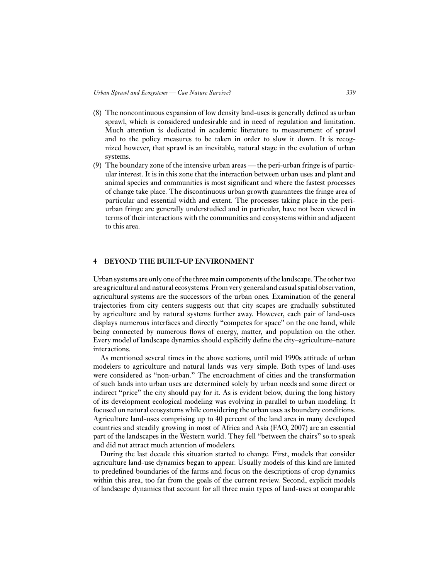- (8) The noncontinuous expansion of low density land-uses is generally defined as urban sprawl, which is considered undesirable and in need of regulation and limitation. Much attention is dedicated in academic literature to measurement of sprawl and to the policy measures to be taken in order to slow it down. It is recognized however, that sprawl is an inevitable, natural stage in the evolution of urban systems.
- (9) The boundary zone of the intensive urban areas the peri-urban fringe is of particular interest. It is in this zone that the interaction between urban uses and plant and animal species and communities is most significant and where the fastest processes of change take place. The discontinuous urban growth guarantees the fringe area of particular and essential width and extent. The processes taking place in the periurban fringe are generally understudied and in particular, have not been viewed in terms of their interactions with the communities and ecosystems within and adjacent to this area.

# **4 BEYOND THE BUILT-UP ENVIRONMENT**

Urban systems are only one of the three main components of the landscape. The other two are agricultural and natural ecosystems. From very general and casual spatial observation, agricultural systems are the successors of the urban ones. Examination of the general trajectories from city centers suggests out that city scapes are gradually substituted by agriculture and by natural systems further away. However, each pair of land-uses displays numerous interfaces and directly "competes for space" on the one hand, while being connected by numerous flows of energy, matter, and population on the other. Every model of landscape dynamics should explicitly define the city–agriculture–nature interactions.

As mentioned several times in the above sections, until mid 1990s attitude of urban modelers to agriculture and natural lands was very simple. Both types of land-uses were considered as "non-urban." The encroachment of cities and the transformation of such lands into urban uses are determined solely by urban needs and some direct or indirect "price" the city should pay for it. As is evident below, during the long history of its development ecological modeling was evolving in parallel to urban modeling. It focused on natural ecosystems while considering the urban uses as boundary conditions. Agriculture land-uses comprising up to 40 percent of the land area in many developed countries and steadily growing in most of Africa and Asia (FAO, 2007) are an essential part of the landscapes in the Western world. They fell "between the chairs" so to speak and did not attract much attention of modelers.

During the last decade this situation started to change. First, models that consider agriculture land-use dynamics began to appear. Usually models of this kind are limited to predefined boundaries of the farms and focus on the descriptions of crop dynamics within this area, too far from the goals of the current review. Second, explicit models of landscape dynamics that account for all three main types of land-uses at comparable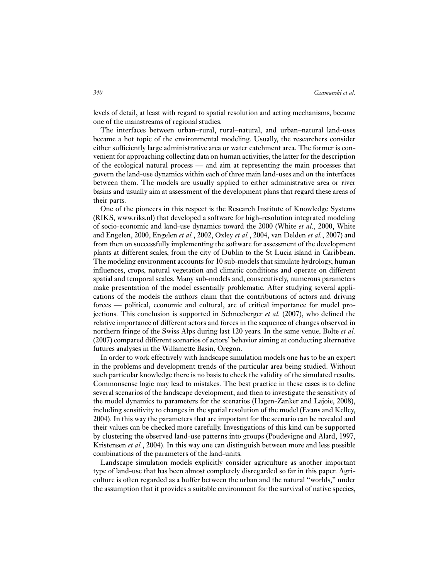levels of detail, at least with regard to spatial resolution and acting mechanisms, became one of the mainstreams of regional studies.

The interfaces between urban–rural, rural–natural, and urban–natural land-uses became a hot topic of the environmental modeling. Usually, the researchers consider either sufficiently large administrative area or water catchment area. The former is convenient for approaching collecting data on human activities, the latter for the description of the ecological natural process — and aim at representing the main processes that govern the land-use dynamics within each of three main land-uses and on the interfaces between them. The models are usually applied to either administrative area or river basins and usually aim at assessment of the development plans that regard these areas of their parts.

One of the pioneers in this respect is the Research Institute of Knowledge Systems (RIKS, www.riks.nl) that developed a software for high-resolution integrated modeling of socio-economic and land-use dynamics toward the 2000 (White *et al.*, 2000, White and Engelen, 2000, Engelen *et al.*, 2002, Oxley *et al.*, 2004, van Delden *et al.*, 2007) and from then on successfully implementing the software for assessment of the development plants at different scales, from the city of Dublin to the St Lucia island in Caribbean. The modeling environment accounts for 10 sub-models that simulate hydrology, human influences, crops, natural vegetation and climatic conditions and operate on different spatial and temporal scales. Many sub-models and, consecutively, numerous parameters make presentation of the model essentially problematic. After studying several applications of the models the authors claim that the contributions of actors and driving forces — political, economic and cultural, are of critical importance for model projections. This conclusion is supported in Schneeberger *et al.* (2007), who defined the relative importance of different actors and forces in the sequence of changes observed in northern fringe of the Swiss Alps during last 120 years. In the same venue, Bolte *et al.* (2007) compared different scenarios of actors' behavior aiming at conducting alternative futures analyses in the Willamette Basin, Oregon.

In order to work effectively with landscape simulation models one has to be an expert in the problems and development trends of the particular area being studied. Without such particular knowledge there is no basis to check the validity of the simulated results. Commonsense logic may lead to mistakes. The best practice in these cases is to define several scenarios of the landscape development, and then to investigate the sensitivity of the model dynamics to parameters for the scenarios (Hagen-Zanker and Lajoie, 2008), including sensitivity to changes in the spatial resolution of the model (Evans and Kelley, 2004). In this way the parameters that are important for the scenario can be revealed and their values can be checked more carefully. Investigations of this kind can be supported by clustering the observed land-use patterns into groups (Poudevigne and Alard, 1997, Kristensen *et al.*, 2004). In this way one can distinguish between more and less possible combinations of the parameters of the land-units.

Landscape simulation models explicitly consider agriculture as another important type of land-use that has been almost completely disregarded so far in this paper. Agriculture is often regarded as a buffer between the urban and the natural "worlds," under the assumption that it provides a suitable environment for the survival of native species,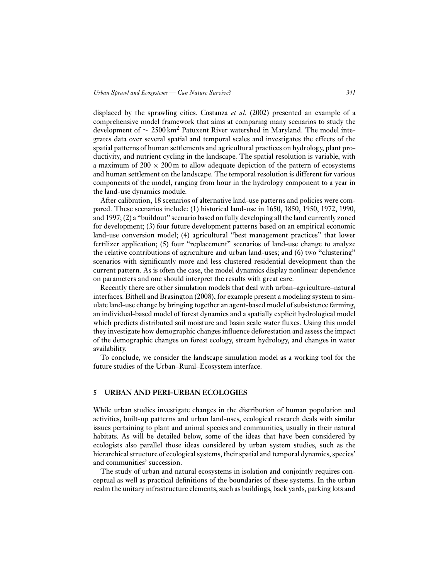displaced by the sprawling cities. Costanza *et al.* (2002) presented an example of a comprehensive model framework that aims at comparing many scenarios to study the development of  $\sim 2500 \text{ km}^2$  Patuxent River watershed in Maryland. The model integrates data over several spatial and temporal scales and investigates the effects of the spatial patterns of human settlements and agricultural practices on hydrology, plant productivity, and nutrient cycling in the landscape. The spatial resolution is variable, with a maximum of  $200 \times 200$  m to allow adequate depiction of the pattern of ecosystems and human settlement on the landscape. The temporal resolution is different for various components of the model, ranging from hour in the hydrology component to a year in the land-use dynamics module.

After calibration, 18 scenarios of alternative land-use patterns and policies were compared. These scenarios include: (1) historical land-use in 1650, 1850, 1950, 1972, 1990, and 1997; (2) a "buildout" scenario based on fully developing all the land currently zoned for development; (3) four future development patterns based on an empirical economic land-use conversion model; (4) agricultural "best management practices" that lower fertilizer application; (5) four "replacement" scenarios of land-use change to analyze the relative contributions of agriculture and urban land-uses; and (6) two "clustering" scenarios with significantly more and less clustered residential development than the current pattern. As is often the case, the model dynamics display nonlinear dependence on parameters and one should interpret the results with great care.

Recently there are other simulation models that deal with urban–agriculture–natural interfaces. Bithell and Brasington (2008), for example present a modeling system to simulate land-use change by bringing together an agent-based model of subsistence farming, an individual-based model of forest dynamics and a spatially explicit hydrological model which predicts distributed soil moisture and basin scale water fluxes. Using this model they investigate how demographic changes influence deforestation and assess the impact of the demographic changes on forest ecology, stream hydrology, and changes in water availability.

To conclude, we consider the landscape simulation model as a working tool for the future studies of the Urban–Rural–Ecosystem interface.

# **5 URBAN AND PERI-URBAN ECOLOGIES**

While urban studies investigate changes in the distribution of human population and activities, built-up patterns and urban land-uses, ecological research deals with similar issues pertaining to plant and animal species and communities, usually in their natural habitats. As will be detailed below, some of the ideas that have been considered by ecologists also parallel those ideas considered by urban system studies, such as the hierarchical structure of ecological systems, their spatial and temporal dynamics, species' and communities' succession.

The study of urban and natural ecosystems in isolation and conjointly requires conceptual as well as practical definitions of the boundaries of these systems. In the urban realm the unitary infrastructure elements, such as buildings, back yards, parking lots and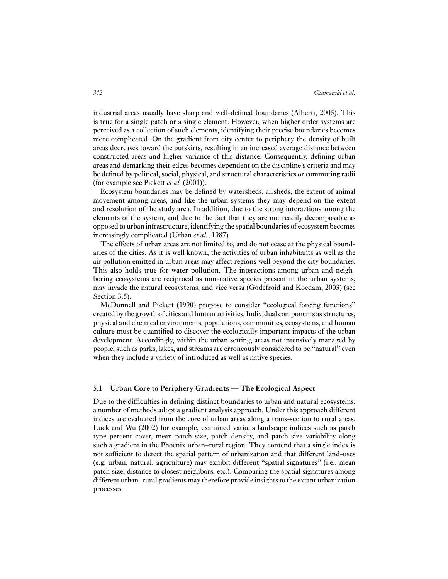industrial areas usually have sharp and well-defined boundaries (Alberti, 2005). This is true for a single patch or a single element. However, when higher order systems are perceived as a collection of such elements, identifying their precise boundaries becomes more complicated. On the gradient from city center to periphery the density of built areas decreases toward the outskirts, resulting in an increased average distance between constructed areas and higher variance of this distance. Consequently, defining urban areas and demarking their edges becomes dependent on the discipline's criteria and may be defined by political, social, physical, and structural characteristics or commuting radii (for example see Pickett *et al.* (2001)).

Ecosystem boundaries may be defined by watersheds, airsheds, the extent of animal movement among areas, and like the urban systems they may depend on the extent and resolution of the study area. In addition, due to the strong interactions among the elements of the system, and due to the fact that they are not readily decomposable as opposed to urban infrastructure, identifying the spatial boundaries of ecosystem becomes increasingly complicated (Urban *et al.*, 1987).

The effects of urban areas are not limited to, and do not cease at the physical boundaries of the cities. As it is well known, the activities of urban inhabitants as well as the air pollution emitted in urban areas may affect regions well beyond the city boundaries. This also holds true for water pollution. The interactions among urban and neighboring ecosystems are reciprocal as non-native species present in the urban systems, may invade the natural ecosystems, and vice versa (Godefroid and Koedam, 2003) (see Section 3.5).

McDonnell and Pickett (1990) propose to consider "ecological forcing functions" created by the growth of cities and human activities. Individual components as structures, physical and chemical environments, populations, communities, ecosystems, and human culture must be quantified to discover the ecologically important impacts of the urban development. Accordingly, within the urban setting, areas not intensively managed by people, such as parks, lakes, and streams are erroneously considered to be "natural" even when they include a variety of introduced as well as native species.

# **5.1 Urban Core to Periphery Gradients — The Ecological Aspect**

Due to the difficulties in defining distinct boundaries to urban and natural ecosystems, a number of methods adopt a gradient analysis approach. Under this approach different indices are evaluated from the core of urban areas along a trans-section to rural areas. Luck and Wu (2002) for example, examined various landscape indices such as patch type percent cover, mean patch size, patch density, and patch size variability along such a gradient in the Phoenix urban–rural region. They contend that a single index is not sufficient to detect the spatial pattern of urbanization and that different land-uses (e.g. urban, natural, agriculture) may exhibit different "spatial signatures" (i.e., mean patch size, distance to closest neighbors, etc.). Comparing the spatial signatures among different urban–rural gradients may therefore provide insights to the extant urbanization processes.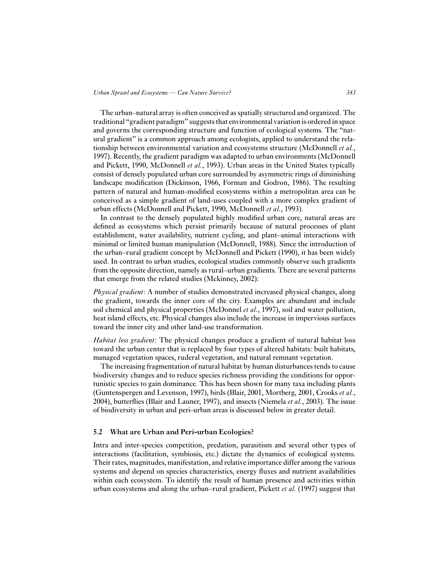The urban–natural array is often conceived as spatially structured and organized. The traditional "gradient paradigm" suggests that environmental variation is ordered in space and governs the corresponding structure and function of ecological systems. The "natural gradient" is a common approach among ecologists, applied to understand the relationship between environmental variation and ecosystems structure (McDonnell *et al.*, 1997). Recently, the gradient paradigm was adapted to urban environments (McDonnell and Pickett, 1990, McDonnell *et al.*, 1993). Urban areas in the United States typically consist of densely populated urban core surrounded by asymmetric rings of diminishing landscape modification (Dickinson, 1966, Forman and Godron, 1986). The resulting pattern of natural and human-modified ecosystems within a metropolitan area can be conceived as a simple gradient of land-uses coupled with a more complex gradient of urban effects (McDonnell and Pickett, 1990, McDonnell *et al.*, 1993).

In contrast to the densely populated highly modified urban core, natural areas are defined as ecosystems which persist primarily because of natural processes of plant establishment, water availability, nutrient cycling, and plant–animal interactions with minimal or limited human manipulation (McDonnell, 1988). Since the introduction of the urban–rural gradient concept by McDonnell and Pickett (1990), it has been widely used. In contrast to urban studies, ecological studies commonly observe such gradients from the opposite direction, namely as rural–urban gradients. There are several patterns that emerge from the related studies (Mckinney, 2002):

*Physical gradient*: A number of studies demonstrated increased physical changes, along the gradient, towards the inner core of the city. Examples are abundant and include soil chemical and physical properties (McDonnel *et al.*, 1997), soil and water pollution, heat island effects, etc. Physical changes also include the increase in impervious surfaces toward the inner city and other land-use transformation.

*Habitat loss gradient*: The physical changes produce a gradient of natural habitat loss toward the urban center that is replaced by four types of altered habitats: built habitats, managed vegetation spaces, ruderal vegetation, and natural remnant vegetation.

The increasing fragmentation of natural habitat by human disturbances tends to cause biodiversity changes and to reduce species richness providing the conditions for opportunistic species to gain dominance. This has been shown for many taxa including plants (Guntenspergen and Levenson, 1997), birds (Blair, 2001, Mortberg, 2001, Crooks *et al.*, 2004), butterflies (Blair and Launer, 1997), and insects (Niemela *et al.*, 2003). The issue of biodiversity in urban and peri-urban areas is discussed below in greater detail.

#### **5.2 What are Urban and Peri-urban Ecologies?**

Intra and inter-species competition, predation, parasitism and several other types of interactions (facilitation, symbiosis, etc.) dictate the dynamics of ecological systems. Their rates, magnitudes, manifestation, and relative importance differ among the various systems and depend on species characteristics, energy fluxes and nutrient availabilities within each ecosystem. To identify the result of human presence and activities within urban ecosystems and along the urban–rural gradient, Pickett *et al.* (1997) suggest that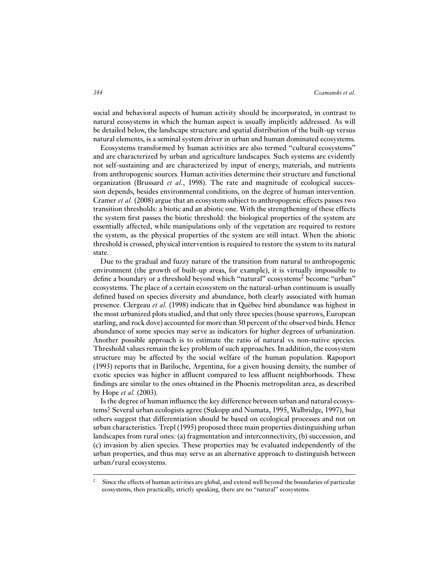social and behavioral aspects of human activity should be incorporated, in contrast to natural ecosystems in which the human aspect is usually implicitly addressed. As will be detailed below, the landscape structure and spatial distribution of the built-up versus natural elements, is a seminal system driver in urban and human dominated ecosystems.

Ecosystems transformed by human activities are also termed "cultural ecosystems" and are characterized by urban and agriculture landscapes. Such systems are evidently not self-sustaining and are characterized by input of energy, materials, and nutrients from anthropogenic sources. Human activities determine their structure and functional organization (Brussard *et al.*, 1998). The rate and magnitude of ecological succession depends, besides environmental conditions, on the degree of human intervention. Cramer *et al.* (2008) argue that an ecosystem subject to anthropogenic effects passes two transition thresholds: a biotic and an abiotic one. With the strengthening of these effects the system first passes the biotic threshold: the biological properties of the system are essentially affected, while manipulations only of the vegetation are required to restore the system, as the physical properties of the system are still intact. When the abiotic threshold is crossed, physical intervention is required to restore the system to its natural state.

Due to the gradual and fuzzy nature of the transition from natural to anthropogenic environment (the growth of built-up areas, for example), it is virtually impossible to define a boundary or a threshold beyond which "natural" ecosystems<sup>2</sup> become "urban" ecosystems. The place of a certain ecosystem on the natural-urban continuum is usually defined based on species diversity and abundance, both clearly associated with human presence. Clergeau *et al.* (1998) indicate that in Québec bird abundance was highest in the most urbanized plots studied, and that only three species (house sparrows, European starling, and rock dove) accounted for more than 50 percent of the observed birds. Hence abundance of some species may serve as indicators for higher degrees of urbanization. Another possible approach is to estimate the ratio of natural vs non-native species. Threshold values remain the key problem of such approaches. In addition, the ecosystem structure may be affected by the social welfare of the human population. Rapoport (1993) reports that in Bariloche, Argentina, for a given housing density, the number of exotic species was higher in affluent compared to less affluent neighborhoods. These findings are similar to the ones obtained in the Phoenix metropolitan area, as described by Hope *et al.* (2003).

Is the degree of human influence the key difference between urban and natural ecosystems? Several urban ecologists agree (Sukopp and Numata, 1995, Walbridge, 1997), but others suggest that differentiation should be based on ecological processes and not on urban characteristics. Trepl (1995) proposed three main properties distinguishing urban landscapes from rural ones: (a) fragmentation and interconnectivity, (b) succession, and (c) invasion by alien species. These properties may be evaluated independently of the urban properties, and thus may serve as an alternative approach to distinguish between urban/rural ecosystems.

<sup>&</sup>lt;sup>2</sup> Since the effects of human activities are global, and extend well beyond the boundaries of particular ecosystems, then practically, strictly speaking, there are no "natural" ecosystems.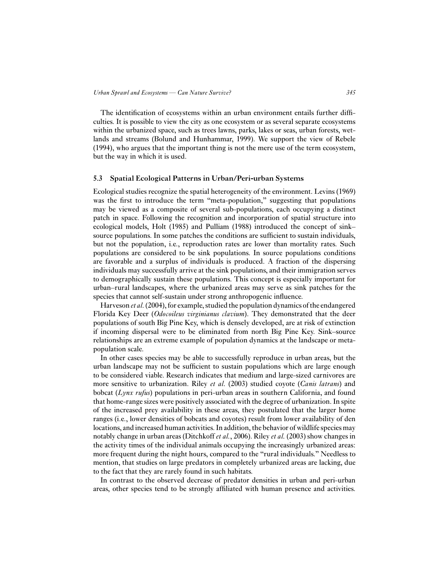The identification of ecosystems within an urban environment entails further difficulties. It is possible to view the city as one ecosystem or as several separate ecosystems within the urbanized space, such as trees lawns, parks, lakes or seas, urban forests, wetlands and streams (Bolund and Hunhammar, 1999). We support the view of Rebele (1994), who argues that the important thing is not the mere use of the term ecosystem, but the way in which it is used.

# **5.3 Spatial Ecological Patterns in Urban/Peri-urban Systems**

Ecological studies recognize the spatial heterogeneity of the environment. Levins (1969) was the first to introduce the term "meta-population," suggesting that populations may be viewed as a composite of several sub-populations, each occupying a distinct patch in space. Following the recognition and incorporation of spatial structure into ecological models, Holt (1985) and Pulliam (1988) introduced the concept of sink– source populations. In some patches the conditions are sufficient to sustain individuals, but not the population, i.e., reproduction rates are lower than mortality rates. Such populations are considered to be sink populations. In source populations conditions are favorable and a surplus of individuals is produced. A fraction of the dispersing individuals may successfully arrive at the sink populations, and their immigration serves to demographically sustain these populations. This concept is especially important for urban–rural landscapes, where the urbanized areas may serve as sink patches for the species that cannot self-sustain under strong anthropogenic influence.

Harveson *et al.*(2004), for example, studied the population dynamics of the endangered Florida Key Deer (*Odocoileus virginianus clavium*). They demonstrated that the deer populations of south Big Pine Key, which is densely developed, are at risk of extinction if incoming dispersal were to be eliminated from north Big Pine Key. Sink–source relationships are an extreme example of population dynamics at the landscape or metapopulation scale.

In other cases species may be able to successfully reproduce in urban areas, but the urban landscape may not be sufficient to sustain populations which are large enough to be considered viable. Research indicates that medium and large-sized carnivores are more sensitive to urbanization. Riley *et al.* (2003) studied coyote (*Canis latrans*) and bobcat (*Lynx rufus*) populations in peri-urban areas in southern California, and found that home-range sizes were positively associated with the degree of urbanization. In spite of the increased prey availability in these areas, they postulated that the larger home ranges (i.e., lower densities of bobcats and coyotes) result from lower availability of den locations, and increased human activities. In addition, the behavior of wildlife species may notably change in urban areas (Ditchkoff *et al.*, 2006). Riley *et al.* (2003) show changes in the activity times of the individual animals occupying the increasingly urbanized areas: more frequent during the night hours, compared to the "rural individuals." Needless to mention, that studies on large predators in completely urbanized areas are lacking, due to the fact that they are rarely found in such habitats.

In contrast to the observed decrease of predator densities in urban and peri-urban areas, other species tend to be strongly affiliated with human presence and activities.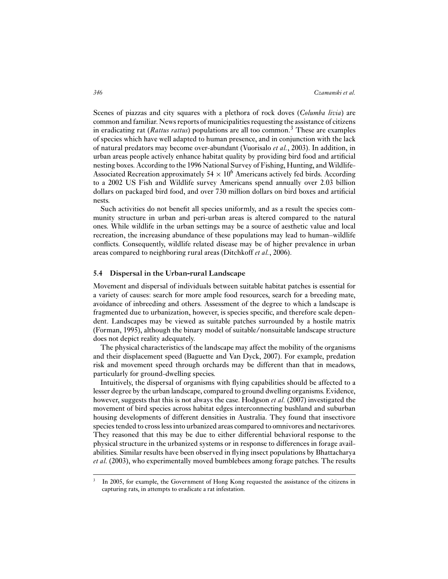Scenes of piazzas and city squares with a plethora of rock doves (*Columba livia*) are common and familiar. News reports of municipalities requesting the assistance of citizens in eradicating rat (*Rattus rattus*) populations are all too common.3 These are examples of species which have well adapted to human presence, and in conjunction with the lack of natural predators may become over-abundant (Vuorisalo *et al.*, 2003). In addition, in urban areas people actively enhance habitat quality by providing bird food and artificial nesting boxes. According to the 1996 National Survey of Fishing, Hunting, and Wildlife-Associated Recreation approximately  $54 \times 10^6$  Americans actively fed birds. According to a 2002 US Fish and Wildlife survey Americans spend annually over 2.03 billion dollars on packaged bird food, and over 730 million dollars on bird boxes and artificial nests.

Such activities do not benefit all species uniformly, and as a result the species community structure in urban and peri-urban areas is altered compared to the natural ones. While wildlife in the urban settings may be a source of aesthetic value and local recreation, the increasing abundance of these populations may lead to human–wildlife conflicts. Consequently, wildlife related disease may be of higher prevalence in urban areas compared to neighboring rural areas (Ditchkoff *et al.*, 2006).

# **5.4 Dispersal in the Urban-rural Landscape**

Movement and dispersal of individuals between suitable habitat patches is essential for a variety of causes: search for more ample food resources, search for a breeding mate, avoidance of inbreeding and others. Assessment of the degree to which a landscape is fragmented due to urbanization, however, is species specific, and therefore scale dependent. Landscapes may be viewed as suitable patches surrounded by a hostile matrix (Forman, 1995), although the binary model of suitable/nonsuitable landscape structure does not depict reality adequately.

The physical characteristics of the landscape may affect the mobility of the organisms and their displacement speed (Baguette and Van Dyck, 2007). For example, predation risk and movement speed through orchards may be different than that in meadows, particularly for ground-dwelling species.

Intuitively, the dispersal of organisms with flying capabilities should be affected to a lesser degree by the urban landscape, compared to ground dwelling organisms. Evidence, however, suggests that this is not always the case. Hodgson *et al.* (2007) investigated the movement of bird species across habitat edges interconnecting bushland and suburban housing developments of different densities in Australia. They found that insectivore species tended to cross less into urbanized areas compared to omnivores and nectarivores. They reasoned that this may be due to either differential behavioral response to the physical structure in the urbanized systems or in response to differences in forage availabilities. Similar results have been observed in flying insect populations by Bhattacharya *et al.* (2003), who experimentally moved bumblebees among forage patches. The results

<sup>&</sup>lt;sup>3</sup> In 2005, for example, the Government of Hong Kong requested the assistance of the citizens in capturing rats, in attempts to eradicate a rat infestation.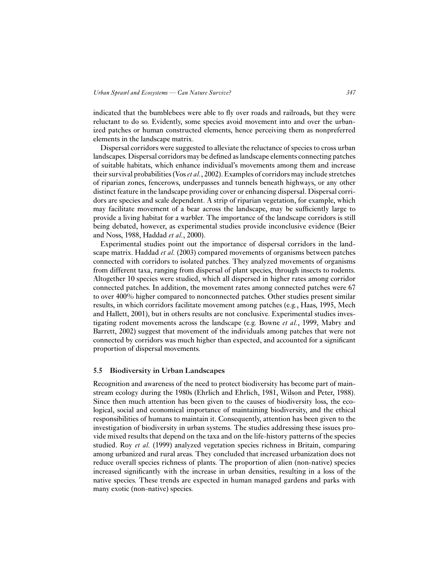indicated that the bumblebees were able to fly over roads and railroads, but they were reluctant to do so. Evidently, some species avoid movement into and over the urbanized patches or human constructed elements, hence perceiving them as nonpreferred elements in the landscape matrix.

Dispersal corridors were suggested to alleviate the reluctance of species to cross urban landscapes. Dispersal corridors may be defined as landscape elements connecting patches of suitable habitats, which enhance individual's movements among them and increase their survival probabilities (Vos*et al.*, 2002). Examples of corridors may include stretches of riparian zones, fencerows, underpasses and tunnels beneath highways, or any other distinct feature in the landscape providing cover or enhancing dispersal. Dispersal corridors are species and scale dependent. A strip of riparian vegetation, for example, which may facilitate movement of a bear across the landscape, may be sufficiently large to provide a living habitat for a warbler. The importance of the landscape corridors is still being debated, however, as experimental studies provide inconclusive evidence (Beier and Noss, 1988, Haddad *et al.*, 2000).

Experimental studies point out the importance of dispersal corridors in the landscape matrix. Haddad *et al.* (2003) compared movements of organisms between patches connected with corridors to isolated patches. They analyzed movements of organisms from different taxa, ranging from dispersal of plant species, through insects to rodents. Altogether 10 species were studied, which all dispersed in higher rates among corridor connected patches. In addition, the movement rates among connected patches were 67 to over 400% higher compared to nonconnected patches. Other studies present similar results, in which corridors facilitate movement among patches (e.g., Haas, 1995, Mech and Hallett, 2001), but in others results are not conclusive. Experimental studies investigating rodent movements across the landscape (e.g. Bowne *et al.*, 1999, Mabry and Barrett, 2002) suggest that movement of the individuals among patches that were not connected by corridors was much higher than expected, and accounted for a significant proportion of dispersal movements.

#### **5.5 Biodiversity in Urban Landscapes**

Recognition and awareness of the need to protect biodiversity has become part of mainstream ecology during the 1980s (Ehrlich and Ehrlich, 1981, Wilson and Peter, 1988). Since then much attention has been given to the causes of biodiversity loss, the ecological, social and economical importance of maintaining biodiversity, and the ethical responsibilities of humans to maintain it. Consequently, attention has been given to the investigation of biodiversity in urban systems. The studies addressing these issues provide mixed results that depend on the taxa and on the life-history patterns of the species studied. Roy *et al.* (1999) analyzed vegetation species richness in Britain, comparing among urbanized and rural areas. They concluded that increased urbanization does not reduce overall species richness of plants. The proportion of alien (non-native) species increased significantly with the increase in urban densities, resulting in a loss of the native species. These trends are expected in human managed gardens and parks with many exotic (non-native) species.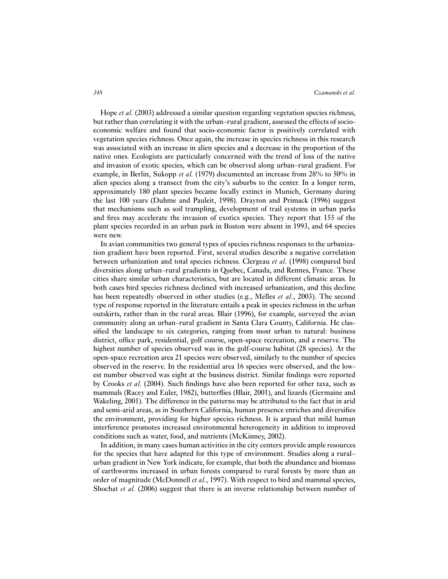Hope *et al.* (2003) addressed a similar question regarding vegetation species richness, but rather than correlating it with the urban–rural gradient, assessed the effects of socioeconomic welfare and found that socio-economic factor is positively correlated with vegetation species richness. Once again, the increase in species richness in this research was associated with an increase in alien species and a decrease in the proportion of the native ones. Ecologists are particularly concerned with the trend of loss of the native and invasion of exotic species, which can be observed along urban–rural gradient. For example, in Berlin, Sukopp *et al.* (1979) documented an increase from 28% to 50% in alien species along a transect from the city's suburbs to the center. In a longer term, approximately 180 plant species became locally extinct in Munich, Germany during the last 100 years (Duhme and Pauleit, 1998). Drayton and Primack (1996) suggest that mechanisms such as soil trampling, development of trail systems in urban parks and fires may accelerate the invasion of exotics species. They report that 155 of the plant species recorded in an urban park in Boston were absent in 1993, and 64 species were new.

In avian communities two general types of species richness responses to the urbanization gradient have been reported. First, several studies describe a negative correlation between urbanization and total species richness. Clergeau *et al.* (1998) compared bird diversities along urban–rural gradients in Quebec, Canada, and Rennes, France. These cities share similar urban characteristics, but are located in different climatic areas. In both cases bird species richness declined with increased urbanization, and this decline has been repeatedly observed in other studies (e.g., Melles *et al.*, 2003). The second type of response reported in the literature entails a peak in species richness in the urban outskirts, rather than in the rural areas. Blair (1996), for example, surveyed the avian community along an urban–rural gradient in Santa Clara County, California. He classified the landscape to six categories, ranging from most urban to natural: business district, office park, residential, golf course, open-space recreation, and a reserve. The highest number of species observed was in the golf-course habitat (28 species). At the open-space recreation area 21 species were observed, similarly to the number of species observed in the reserve. In the residential area 16 species were observed, and the lowest number observed was eight at the business district. Similar findings were reported by Crooks *et al.* (2004). Such findings have also been reported for other taxa, such as mammals (Racey and Euler, 1982), butterflies (Blair, 2001), and lizards (Germaine and Wakeling, 2001). The difference in the patterns may be attributed to the fact that in arid and semi-arid areas, as in Southern California, human presence enriches and diversifies the environment, providing for higher species richness. It is argued that mild human interference promotes increased environmental heterogeneity in addition to improved conditions such as water, food, and nutrients (McKinney, 2002).

In addition, in many cases human activities in the city centers provide ample resources for the species that have adapted for this type of environment. Studies along a rural– urban gradient in New York indicate, for example, that both the abundance and biomass of earthworms increased in urban forests compared to rural forests by more than an order of magnitude (McDonnell *et al.*, 1997). With respect to bird and mammal species, Shochat *et al.* (2006) suggest that there is an inverse relationship between number of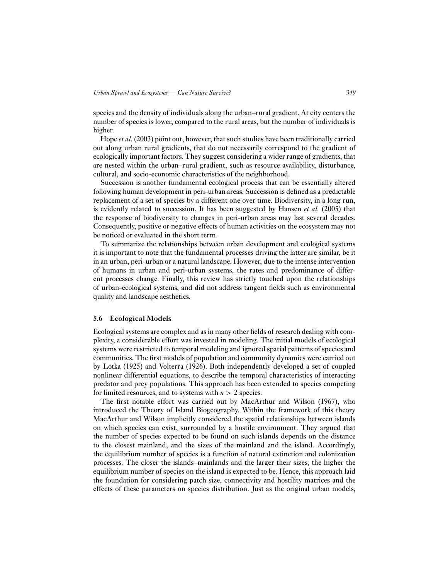species and the density of individuals along the urban–rural gradient. At city centers the number of species is lower, compared to the rural areas, but the number of individuals is higher.

Hope *et al.* (2003) point out, however, that such studies have been traditionally carried out along urban rural gradients, that do not necessarily correspond to the gradient of ecologically important factors. They suggest considering a wider range of gradients, that are nested within the urban–rural gradient, such as resource availability, disturbance, cultural, and socio-economic characteristics of the neighborhood.

Succession is another fundamental ecological process that can be essentially altered following human development in peri-urban areas. Succession is defined as a predictable replacement of a set of species by a different one over time. Biodiversity, in a long run, is evidently related to succession. It has been suggested by Hansen *et al.* (2005) that the response of biodiversity to changes in peri-urban areas may last several decades. Consequently, positive or negative effects of human activities on the ecosystem may not be noticed or evaluated in the short term.

To summarize the relationships between urban development and ecological systems it is important to note that the fundamental processes driving the latter are similar, be it in an urban, peri-urban or a natural landscape. However, due to the intense intervention of humans in urban and peri-urban systems, the rates and predominance of different processes change. Finally, this review has strictly touched upon the relationships of urban-ecological systems, and did not address tangent fields such as environmental quality and landscape aesthetics.

#### **5.6 Ecological Models**

Ecological systems are complex and as in many other fields of research dealing with complexity, a considerable effort was invested in modeling. The initial models of ecological systems were restricted to temporal modeling and ignored spatial patterns of species and communities. The first models of population and community dynamics were carried out by Lotka (1925) and Volterra (1926). Both independently developed a set of coupled nonlinear differential equations, to describe the temporal characteristics of interacting predator and prey populations. This approach has been extended to species competing for limited resources, and to systems with  $n > 2$  species.

The first notable effort was carried out by MacArthur and Wilson (1967), who introduced the Theory of Island Biogeography. Within the framework of this theory MacArthur and Wilson implicitly considered the spatial relationships between islands on which species can exist, surrounded by a hostile environment. They argued that the number of species expected to be found on such islands depends on the distance to the closest mainland, and the sizes of the mainland and the island. Accordingly, the equilibrium number of species is a function of natural extinction and colonization processes. The closer the islands–mainlands and the larger their sizes, the higher the equilibrium number of species on the island is expected to be. Hence, this approach laid the foundation for considering patch size, connectivity and hostility matrices and the effects of these parameters on species distribution. Just as the original urban models,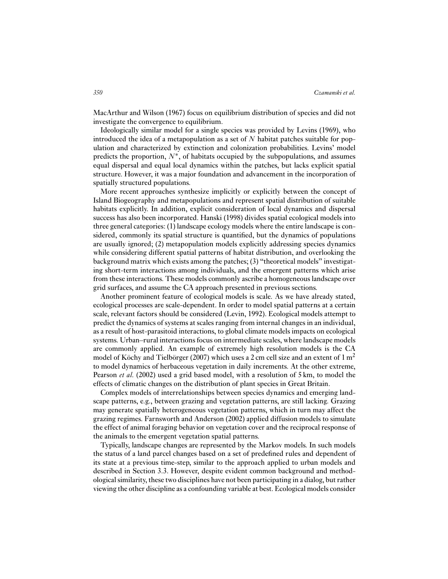MacArthur and Wilson (1967) focus on equilibrium distribution of species and did not investigate the convergence to equilibrium.

Ideologically similar model for a single species was provided by Levins (1969), who introduced the idea of a metapopulation as a set of *N* habitat patches suitable for population and characterized by extinction and colonization probabilities. Levins' model predicts the proportion, *N*∗, of habitats occupied by the subpopulations, and assumes equal dispersal and equal local dynamics within the patches, but lacks explicit spatial structure. However, it was a major foundation and advancement in the incorporation of spatially structured populations.

More recent approaches synthesize implicitly or explicitly between the concept of Island Biogeography and metapopulations and represent spatial distribution of suitable habitats explicitly. In addition, explicit consideration of local dynamics and dispersal success has also been incorporated. Hanski (1998) divides spatial ecological models into three general categories: (1) landscape ecology models where the entire landscape is considered, commonly its spatial structure is quantified, but the dynamics of populations are usually ignored; (2) metapopulation models explicitly addressing species dynamics while considering different spatial patterns of habitat distribution, and overlooking the background matrix which exists among the patches; (3) "theoretical models" investigating short-term interactions among individuals, and the emergent patterns which arise from these interactions. These models commonly ascribe a homogeneous landscape over grid surfaces, and assume the CA approach presented in previous sections.

Another prominent feature of ecological models is scale. As we have already stated, ecological processes are scale-dependent. In order to model spatial patterns at a certain scale, relevant factors should be considered (Levin, 1992). Ecological models attempt to predict the dynamics of systems at scales ranging from internal changes in an individual, as a result of host-parasitoid interactions, to global climate models impacts on ecological systems. Urban–rural interactions focus on intermediate scales, where landscape models are commonly applied. An example of extremely high resolution models is the CA model of Köchy and Tielbörger (2007) which uses a 2 cm cell size and an extent of  $1 \text{ m}^2$ to model dynamics of herbaceous vegetation in daily increments. At the other extreme, Pearson *et al.* (2002) used a grid based model, with a resolution of 5 km, to model the effects of climatic changes on the distribution of plant species in Great Britain.

Complex models of interrelationships between species dynamics and emerging landscape patterns, e.g., between grazing and vegetation patterns, are still lacking. Grazing may generate spatially heterogeneous vegetation patterns, which in turn may affect the grazing regimes. Farnsworth and Anderson (2002) applied diffusion models to simulate the effect of animal foraging behavior on vegetation cover and the reciprocal response of the animals to the emergent vegetation spatial patterns.

Typically, landscape changes are represented by the Markov models. In such models the status of a land parcel changes based on a set of predefined rules and dependent of its state at a previous time-step, similar to the approach applied to urban models and described in Section 3.3. However, despite evident common background and methodological similarity, these two disciplines have not been participating in a dialog, but rather viewing the other discipline as a confounding variable at best. Ecological models consider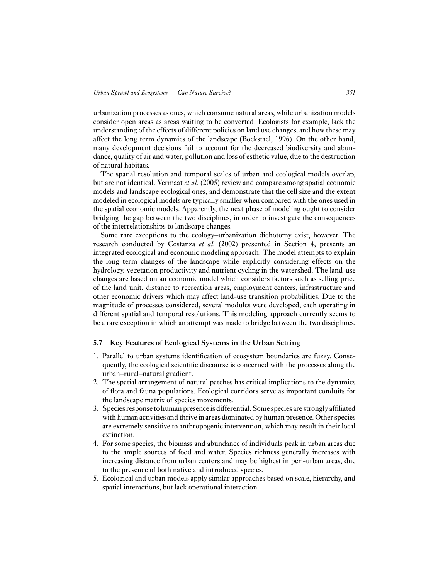urbanization processes as ones, which consume natural areas, while urbanization models consider open areas as areas waiting to be converted. Ecologists for example, lack the understanding of the effects of different policies on land use changes, and how these may affect the long term dynamics of the landscape (Bockstael, 1996). On the other hand, many development decisions fail to account for the decreased biodiversity and abundance, quality of air and water, pollution and loss of esthetic value, due to the destruction of natural habitats.

The spatial resolution and temporal scales of urban and ecological models overlap, but are not identical. Vermaat *et al.* (2005) review and compare among spatial economic models and landscape ecological ones, and demonstrate that the cell size and the extent modeled in ecological models are typically smaller when compared with the ones used in the spatial economic models. Apparently, the next phase of modeling ought to consider bridging the gap between the two disciplines, in order to investigate the consequences of the interrelationships to landscape changes.

Some rare exceptions to the ecology–urbanization dichotomy exist, however. The research conducted by Costanza *et al.* (2002) presented in Section 4, presents an integrated ecological and economic modeling approach. The model attempts to explain the long term changes of the landscape while explicitly considering effects on the hydrology, vegetation productivity and nutrient cycling in the watershed. The land-use changes are based on an economic model which considers factors such as selling price of the land unit, distance to recreation areas, employment centers, infrastructure and other economic drivers which may affect land-use transition probabilities. Due to the magnitude of processes considered, several modules were developed, each operating in different spatial and temporal resolutions. This modeling approach currently seems to be a rare exception in which an attempt was made to bridge between the two disciplines.

#### **5.7 Key Features of Ecological Systems in the Urban Setting**

- 1. Parallel to urban systems identification of ecosystem boundaries are fuzzy. Consequently, the ecological scientific discourse is concerned with the processes along the urban–rural–natural gradient.
- 2. The spatial arrangement of natural patches has critical implications to the dynamics of flora and fauna populations. Ecological corridors serve as important conduits for the landscape matrix of species movements.
- 3. Species response to human presence is differential. Some species are strongly affiliated with human activities and thrive in areas dominated by human presence. Other species are extremely sensitive to anthropogenic intervention, which may result in their local extinction.
- 4. For some species, the biomass and abundance of individuals peak in urban areas due to the ample sources of food and water. Species richness generally increases with increasing distance from urban centers and may be highest in peri-urban areas, due to the presence of both native and introduced species.
- 5. Ecological and urban models apply similar approaches based on scale, hierarchy, and spatial interactions, but lack operational interaction.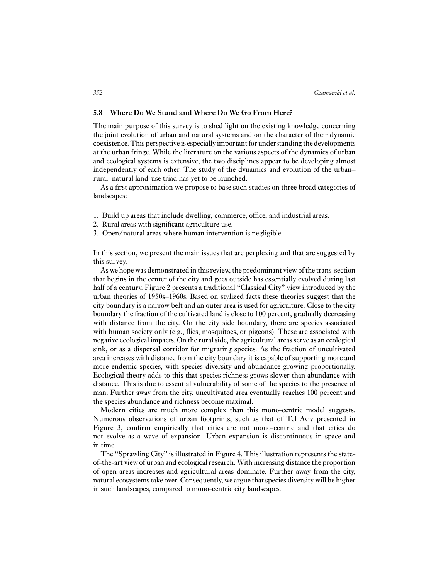# **5.8 Where Do We Stand and Where Do We Go From Here?**

The main purpose of this survey is to shed light on the existing knowledge concerning the joint evolution of urban and natural systems and on the character of their dynamic coexistence. This perspective is especially important for understanding the developments at the urban fringe. While the literature on the various aspects of the dynamics of urban and ecological systems is extensive, the two disciplines appear to be developing almost independently of each other. The study of the dynamics and evolution of the urban– rural–natural land-use triad has yet to be launched.

As a first approximation we propose to base such studies on three broad categories of landscapes:

- 1. Build up areas that include dwelling, commerce, office, and industrial areas.
- 2. Rural areas with significant agriculture use.
- 3. Open/natural areas where human intervention is negligible.

In this section, we present the main issues that are perplexing and that are suggested by this survey.

As we hope was demonstrated in this review, the predominant view of the trans-section that begins in the center of the city and goes outside has essentially evolved during last half of a century. Figure 2 presents a traditional "Classical City" view introduced by the urban theories of 1950s–1960s. Based on stylized facts these theories suggest that the city boundary is a narrow belt and an outer area is used for agriculture. Close to the city boundary the fraction of the cultivated land is close to 100 percent, gradually decreasing with distance from the city. On the city side boundary, there are species associated with human society only (e.g., flies, mosquitoes, or pigeons). These are associated with negative ecological impacts. On the rural side, the agricultural areas serve as an ecological sink, or as a dispersal corridor for migrating species. As the fraction of uncultivated area increases with distance from the city boundary it is capable of supporting more and more endemic species, with species diversity and abundance growing proportionally. Ecological theory adds to this that species richness grows slower than abundance with distance. This is due to essential vulnerability of some of the species to the presence of man. Further away from the city, uncultivated area eventually reaches 100 percent and the species abundance and richness become maximal.

Modern cities are much more complex than this mono-centric model suggests. Numerous observations of urban footprints, such as that of Tel Aviv presented in Figure 3, confirm empirically that cities are not mono-centric and that cities do not evolve as a wave of expansion. Urban expansion is discontinuous in space and in time.

The "Sprawling City" is illustrated in Figure 4. This illustration represents the stateof-the-art view of urban and ecological research. With increasing distance the proportion of open areas increases and agricultural areas dominate. Further away from the city, natural ecosystems take over. Consequently, we argue that species diversity will be higher in such landscapes, compared to mono-centric city landscapes.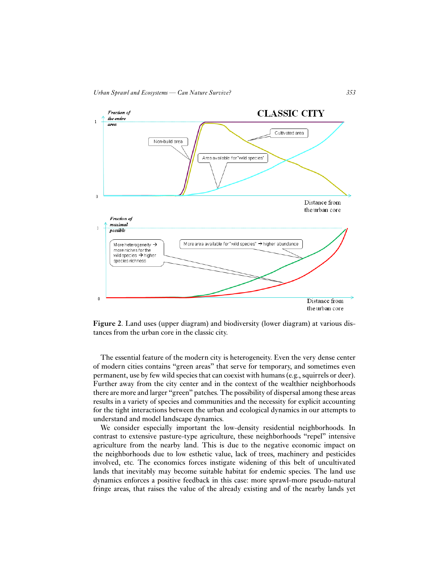

**Figure 2**. Land uses (upper diagram) and biodiversity (lower diagram) at various distances from the urban core in the classic city.

The essential feature of the modern city is heterogeneity. Even the very dense center of modern cities contains "green areas" that serve for temporary, and sometimes even permanent, use by few wild species that can coexist with humans (e.g., squirrels or deer). Further away from the city center and in the context of the wealthier neighborhoods there are more and larger "green" patches. The possibility of dispersal among these areas results in a variety of species and communities and the necessity for explicit accounting for the tight interactions between the urban and ecological dynamics in our attempts to understand and model landscape dynamics.

We consider especially important the low-density residential neighborhoods. In contrast to extensive pasture-type agriculture, these neighborhoods "repel" intensive agriculture from the nearby land. This is due to the negative economic impact on the neighborhoods due to low esthetic value, lack of trees, machinery and pesticides involved, etc. The economics forces instigate widening of this belt of uncultivated lands that inevitably may become suitable habitat for endemic species. The land use dynamics enforces a positive feedback in this case: more sprawl-more pseudo-natural fringe areas, that raises the value of the already existing and of the nearby lands yet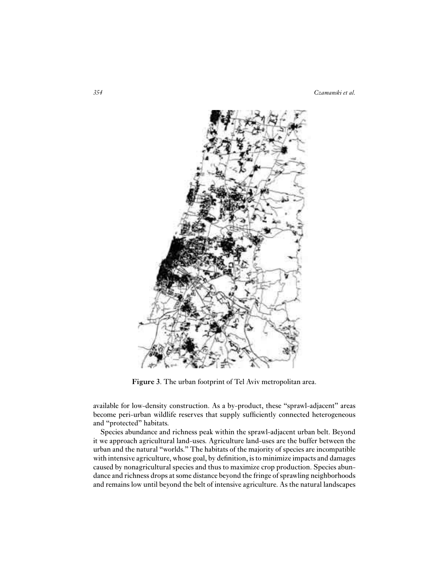

**Figure 3**. The urban footprint of Tel Aviv metropolitan area.

available for low-density construction. As a by-product, these "sprawl-adjacent" areas become peri-urban wildlife reserves that supply sufficiently connected heterogeneous and "protected" habitats.

Species abundance and richness peak within the sprawl-adjacent urban belt. Beyond it we approach agricultural land-uses. Agriculture land-uses are the buffer between the urban and the natural "worlds." The habitats of the majority of species are incompatible with intensive agriculture, whose goal, by definition, is to minimize impacts and damages caused by nonagricultural species and thus to maximize crop production. Species abundance and richness drops at some distance beyond the fringe of sprawling neighborhoods and remains low until beyond the belt of intensive agriculture. As the natural landscapes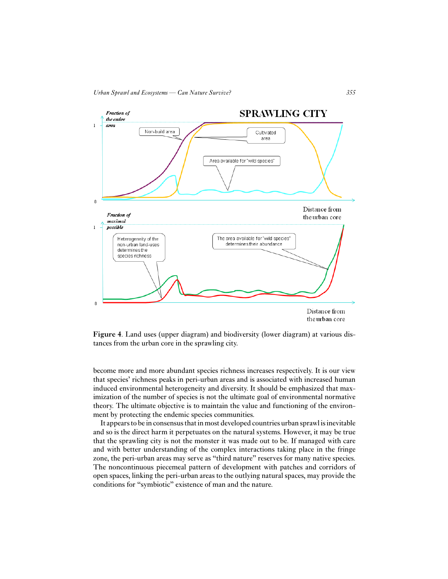

**Figure 4**. Land uses (upper diagram) and biodiversity (lower diagram) at various distances from the urban core in the sprawling city.

become more and more abundant species richness increases respectively. It is our view that species' richness peaks in peri-urban areas and is associated with increased human induced environmental heterogeneity and diversity. It should be emphasized that maximization of the number of species is not the ultimate goal of environmental normative theory. The ultimate objective is to maintain the value and functioning of the environment by protecting the endemic species communities.

It appears to be in consensus that in most developed countries urban sprawl is inevitable and so is the direct harm it perpetuates on the natural systems. However, it may be true that the sprawling city is not the monster it was made out to be. If managed with care and with better understanding of the complex interactions taking place in the fringe zone, the peri-urban areas may serve as "third nature" reserves for many native species. The noncontinuous piecemeal pattern of development with patches and corridors of open spaces, linking the peri-urban areas to the outlying natural spaces, may provide the conditions for "symbiotic" existence of man and the nature.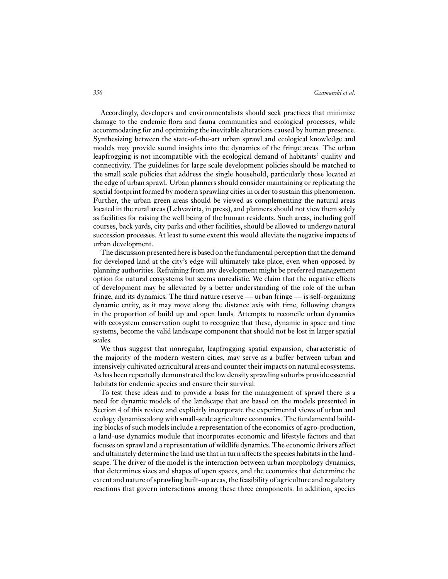Accordingly, developers and environmentalists should seek practices that minimize damage to the endemic flora and fauna communities and ecological processes, while accommodating for and optimizing the inevitable alterations caused by human presence. Synthesizing between the state-of-the-art urban sprawl and ecological knowledge and models may provide sound insights into the dynamics of the fringe areas. The urban leapfrogging is not incompatible with the ecological demand of habitants' quality and connectivity. The guidelines for large scale development policies should be matched to the small scale policies that address the single household, particularly those located at the edge of urban sprawl. Urban planners should consider maintaining or replicating the spatial footprint formed by modern sprawling cities in order to sustain this phenomenon. Further, the urban green areas should be viewed as complementing the natural areas located in the rural areas (Lehvavirta, in press), and planners should not view them solely as facilities for raising the well being of the human residents. Such areas, including golf courses, back yards, city parks and other facilities, should be allowed to undergo natural succession processes. At least to some extent this would alleviate the negative impacts of urban development.

The discussion presented here is based on the fundamental perception that the demand for developed land at the city's edge will ultimately take place, even when opposed by planning authorities. Refraining from any development might be preferred management option for natural ecosystems but seems unrealistic. We claim that the negative effects of development may be alleviated by a better understanding of the role of the urban fringe, and its dynamics. The third nature reserve — urban fringe — is self-organizing dynamic entity, as it may move along the distance axis with time, following changes in the proportion of build up and open lands. Attempts to reconcile urban dynamics with ecosystem conservation ought to recognize that these, dynamic in space and time systems, become the valid landscape component that should not be lost in larger spatial scales.

We thus suggest that nonregular, leapfrogging spatial expansion, characteristic of the majority of the modern western cities, may serve as a buffer between urban and intensively cultivated agricultural areas and counter their impacts on natural ecosystems. As has been repeatedly demonstrated the low density sprawling suburbs provide essential habitats for endemic species and ensure their survival.

To test these ideas and to provide a basis for the management of sprawl there is a need for dynamic models of the landscape that are based on the models presented in Section 4 of this review and explicitly incorporate the experimental views of urban and ecology dynamics along with small-scale agriculture economics. The fundamental building blocks of such models include a representation of the economics of agro-production, a land-use dynamics module that incorporates economic and lifestyle factors and that focuses on sprawl and a representation of wildlife dynamics. The economic drivers affect and ultimately determine the land use that in turn affects the species habitats in the landscape. The driver of the model is the interaction between urban morphology dynamics, that determines sizes and shapes of open spaces, and the economics that determine the extent and nature of sprawling built-up areas, the feasibility of agriculture and regulatory reactions that govern interactions among these three components. In addition, species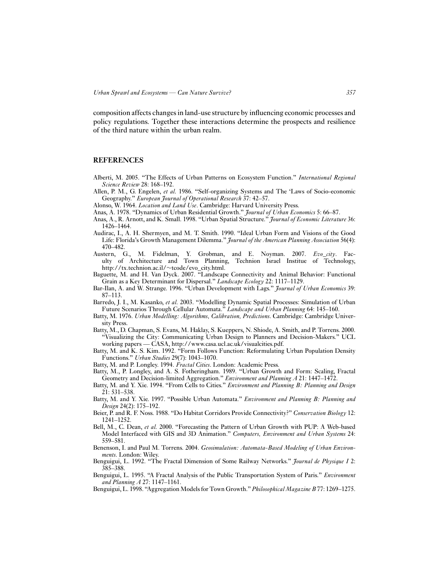composition affects changes in land-use structure by influencing economic processes and policy regulations. Together these interactions determine the prospects and resilience of the third nature within the urban realm.

### **REFERENCES**

- Alberti, M. 2005. "The Effects of Urban Patterns on Ecosystem Function." *International Regional Science Review* 28: 168–192.
- Allen, P. M., G. Engelen, *et al.* 1986. "Self-organizing Systems and The 'Laws of Socio-economic Geography." *European Journal of Operational Research* 37: 42–57.
- Alonso, W. 1964. *Location and Land Use*. Cambridge: Harvard University Press.
- Anas, A. 1978. "Dynamics of Urban Residential Growth." *Journal of Urban Economics* 5: 66–87.
- Anas, A., R. Arnott, and K. Small. 1998. "Urban Spatial Structure." *Journal of Economic Literature* 36: 1426–1464.
- Audirac, I., A. H. Shermyen, and M. T. Smith. 1990. "Ideal Urban Form and Visions of the Good Life: Florida's Growth Management Dilemma." *Journal of the American Planning Association* 56(4): 470–482.
- Austern, G., M. Fidelman, Y. Grobman, and E. Noyman. 2007. *Evo\_city*. Faculty of Architecture and Town Planning, Technion Israel Institue of Technology, http://tx.technion.ac.il/∼tcode/evo\_city.html.
- Baguette, M. and H. Van Dyck. 2007. "Landscape Connectivity and Animal Behavior: Functional Grain as a Key Determinant for Dispersal." *Landscape Ecology* 22: 1117–1129.
- Bar-Ilan, A. and W. Strange. 1996. "Urban Development with Lags." *Journal of Urban Economics* 39: 87–113.
- Barredo, J. I., M. Kasanko, *et al.* 2003. "Modelling Dynamic Spatial Processes: Simulation of Urban Future Scenarios Through Cellular Automata." *Landscape and Urban Planning* 64: 145–160.
- Batty, M. 1976. *Urban Modelling: Algorithms, Calibration, Predictions*. Cambridge: Cambridge University Press.
- Batty, M., D. Chapman, S. Evans, M. Haklay, S. Kueppers, N. Shiode, A. Smith, and P. Torrens. 2000. "Visualizing the City: Communicating Urban Design to Planners and Decision-Makers." UCL working papers — CASA, http://www.casa.ucl.ac.uk/visualcities.pdf.
- Batty, M. and K. S. Kim. 1992. "Form Follows Function: Reformulating Urban Population Density Functions." *Urban Studies* 29(7): 1043–1070.

Batty, M. and P. Longley. 1994. *Fractal Cities*. London: Academic Press.

- Batty, M., P. Longley, and A. S. Fotheringham. 1989. "Urban Growth and Form: Scaling, Fractal Geometry and Decision-limited Aggregation." *Environment and Planning A* 21: 1447–1472.
- Batty, M. and Y. Xie. 1994. "From Cells to Cities." *Environment and Planning B: Planning and Design*  $21.531 - 538$
- Batty, M. and Y. Xie. 1997. "Possible Urban Automata." *Environment and Planning B: Planning and Design* 24(2): 175–192.
- Beier, P. and R. F. Noss. 1988. "Do Habitat Corridors Provide Connectivity?" *Conservation Biology* 12: 1241–1252.
- Bell, M., C. Dean, *et al.* 2000. "Forecasting the Pattern of Urban Growth with PUP: A Web-based Model Interfaced with GIS and 3D Animation." *Computers, Environment and Urban Systems* 24: 559–581.
- Benenson, I. and Paul M. Torrens. 2004. *Geosimulation: Automata-Based Modeling of Urban Environments*. London: Wiley.
- Benguigui, L. 1992. "The Fractal Dimension of Some Railway Networks." *Journal de Physique I* 2: 385–388.
- Benguigui, L. 1995. "A Fractal Analysis of the Public Transportation System of Paris." *Environment and Planning A* 27: 1147–1161.
- Benguigui, L. 1998. "Aggregation Models for Town Growth." *Philosophical Magazine B*77: 1269–1275.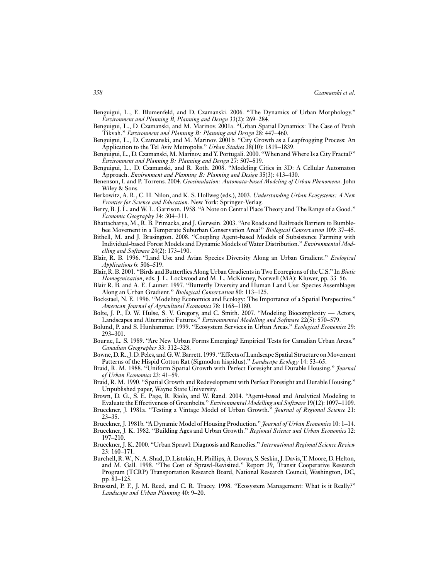- Benguigui, L., E. Blumenfeld, and D. Czamanski. 2006. "The Dynamics of Urban Morphology." *Environment and Planning B, Planning and Design* 33(2): 269–284.
- Benguigui, L., D. Czamanski, and M. Marinov. 2001a. "Úrban Spatial Dynamics: The Case of Petah Tikvah." *Environment and Planning B: Planning and Design* 28: 447–460.
- Benguigui, L., D. Czamanski, and M. Marinov. 2001b. "City Growth as a Leapfrogging Process: An Application to the Tel Aviv Metropolis." *Urban Studies* 38(10): 1819–1839.
- Benguigui, L., D. Czamanski, M. Marinov, and Y. Portugali. 2000. "When and Where Is a City Fractal?" *Environment and Planning B: Planning and Design* 27: 507–519.
- Benguigui, L., D. Czamanski, and R. Roth. 2008. "Modeling Cities in 3D: A Cellular Automaton Approach. *Environment and Planning B: Planning and Design* 35(3): 413–430.
- Benenson, I. and P. Torrens. 2004. *Geosimulation: Automata-based Modeling of Urban Phenomena*. John Wiley & Sons.
- Berkowitz, A. R., C. H. Nilon, and K. S. Hollweg (eds.), 2003. *Understanding Urban Ecosystems: A New Frontier for Science and Education*. New York: Springer-Verlag.
- Berry, B. J. L. and W. L. Garrison. 1958. "A Note on Central Place Theory and The Range of a Good." *Economic Geography* 34: 304–311.
- Bhattacharya, M., R. B. Primacka, and J. Gerwein. 2003. "Are Roads and Railroads Barriers to Bumblebee Movement in a Temperate Suburban Conservation Area?" *Biological Conservation* 109: 37–45.
- Bithell, M. and J. Brasington. 2008. "Coupling Agent-based Models of Subsistence Farming with Individual-based Forest Models and Dynamic Models of Water Distribution." *Environmental Modelling and Software* 24(2): 173–190.
- Blair, R. B. 1996. "Land Use and Avian Species Diversity Along an Urban Gradient." *Ecological Applications* 6: 506–519.
- Blair, R. B. 2001. "Birds and Butterflies Along Urban Gradients in Two Ecoregions of the U.S." In*Biotic Homogenization*, eds. J. L. Lockwood and M. L. McKinney, Norwell (MA): Kluwer, pp. 33–56.

Blair R. B. and A. E. Launer. 1997. "Butterfly Diversity and Human Land Use: Species Assemblages Along an Urban Gradient." *Biological Conservation* 80: 113–125.

- Bockstael, N. E. 1996. "Modeling Economics and Ecology: The Importance of a Spatial Perspective." *American Journal of Agricultural Economics* 78: 1168–1180.
- Bolte, J. P., D. W. Hulse, S. V. Gregory, and C. Smith. 2007. "Modeling Biocomplexity Actors, Landscapes and Alternative Futures." *Environmental Modelling and Software* 22(5): 570–579.
- Bolund, P. and S. Hunhammar. 1999. "Ecosystem Services in Urban Areas." *Ecological Economics* 29: 293–301.
- Bourne, L. S. 1989. "Are New Urban Forms Emerging? Empirical Tests for Canadian Urban Areas." *Canadian Geographer* 33: 312–328.
- Bowne, D. R., J. D. Peles, and G. W. Barrett. 1999. "Effects of Landscape Spatial Structure on Movement Patterns of the Hispid Cotton Rat (Sigmodon hispidus)." *Landscape Ecology* 14: 53–65.
- Braid, R. M. 1988. "Uniform Spatial Growth with Perfect Foresight and Durable Housing." *Journal of Urban Economics* 23: 41–59.
- Braid, R. M. 1990. "Spatial Growth and Redevelopment with Perfect Foresight and Durable Housing." Unpublished paper, Wayne State University.
- Brown, D. G., S. E. Page, R. Riolo, and W. Rand. 2004. "Agent-based and Analytical Modeling to Evaluate the Effectiveness of Greenbelts." *Environmental Modelling and Software* 19(12): 1097–1109.
- Brueckner, J. 1981a. "Testing a Vintage Model of Urban Growth." *Journal of Regional Science* 21: 23–35.
- Brueckner, J. 1981b. "A Dynamic Model of Housing Production." *Journal of Urban Economics* 10: 1–14.
- Brueckner, J. K. 1982. "Building Ages and Urban Growth." *Regional Science and Urban Economics* 12: 197–210.
- Brueckner, J. K. 2000. "Urban Sprawl: Diagnosis and Remedies." *International Regional Science Review* 23: 160–171.
- Burchell, R.W., N. A. Shad, D. Listokin, H. Phillips, A. Downs, S. Seskin, J. Davis, T.Moore, D. Helton, and M. Gall. 1998. "The Cost of Sprawl-Revisited." Report 39, Transit Cooperative Research Program (TCRP) Transportation Research Board, National Research Council, Washington, DC, pp. 83–125.
- Brussard, P. F., J. M. Reed, and C. R. Tracey. 1998. "Ecosystem Management: What is it Really?" *Landscape and Urban Planning* 40: 9–20.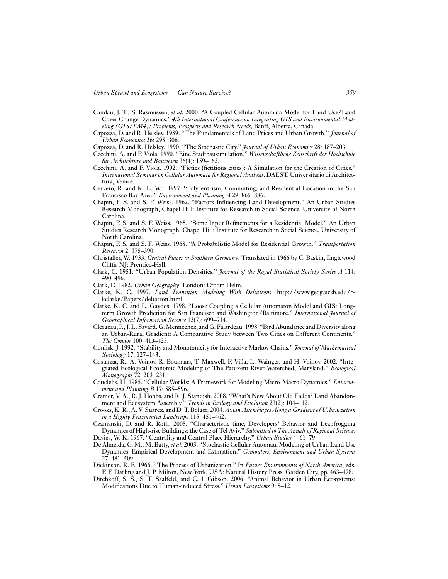- Candau, J. T., S. Rasmussen, *et al.* 2000. "A Coupled Cellular Automata Model for Land Use/Land Cover Change Dynamics." *4th International Conference on Integrating GIS and Environmental Modeling (GIS/EM4): Problems, Prospects and Research Needs*, Banff, Alberta, Canada.
- Capozza, D. and R. Helsley. 1989. "The Fundamentals of Land Prices and Urban Growth." *Journal of Urban Economics* 26: 295–306.
- Capozza, D. and R. Helsley. 1990. "The Stochastic City." *Journal of Urban Economics* 28: 187–203.
- Cecchini, A. and F. Viola. 1990. "Eine Stadtbausimulation." *Wissenschaftliche Zeitschrift der Hochschule fur Architekture und Bauwesen* 36(4): 159–162.
- Cecchini, A. and F. Viola. 1992. "Ficties (fictitious cities): A Simulation for the Creation of Cities." *International Seminar on Cellular Automata for Regional Analysis*, DAEST, Universitario di Architettura, Venice.
- Cervero, R. and K. L. Wu. 1997. "Polycentrism, Commuting, and Residential Location in the San Francisco Bay Area." *Environment and Planning A* 29: 865–886.
- Chapin, F. S. and S. F. Weiss. 1962. "Factors Influencing Land Development." An Urban Studies Research Monograph, Chapel Hill: Institute for Research in Social Science, University of North Carolina.
- Chapin, F. S. and S. F. Weiss. 1965. "Some Input Refinements for a Residential Model." An Urban Studies Research Monograph, Chapel Hill: Institute for Research in Social Science, University of North Carolina.
- Chapin, F. S. and S. F. Weiss. 1968. "A Probabilistic Model for Residential Growth." *Transportation Research* 2: 375–390.
- Christaller, W. 1933. *Central Places in Southern Germany*. Translated in 1966 by C. Baskin, Englewood Cliffs, NJ: Prentice-Hall.
- Clark, C. 1951. "Urban Population Densities." *Journal of the Royal Statistical Society Series A* 114: 490–496.
- Clark, D. 1982. *Urban Geography*. London: Croom Helm.
- Clarke, K. C. 1997. *Land Transition Modeling With Deltatrons*. http://www.geog.ucsb.edu/∼ kclarke/Papers/deltatron.html.
- Clarke, K. C. and L. Gaydos. 1998. "Loose Coupling a Cellular Automaton Model and GIS: Longterm Growth Prediction for San Francisco and Washington/Baltimore." *International Journal of Geographical Information Science* 12(7): 699–714.
- Clergeau, P., J. L. Savard, G.Mennechez, and G. Falardeau. 1998. "Bird Abundance and Diversity along an Urban-Rural Gradient: A Comparative Study between Two Cities on Different Continents." *The Condor* 100: 413–425.
- Conlisk, J. 1992. "Stability and Monotonicity for Interactive Markov Chains." *Journal of Mathematical Sociology* 17: 127–143.
- Costanza, R., A. Voinov, R. Boumans, T. Maxwell, F. Villa, L. Wainger, and H. Voinov. 2002. "Integrated Ecological Economic Modeling of The Patuxent River Watershed, Maryland." *Ecological Monographs* 72: 203–231.
- Couclelis, H. 1985. "Cellular Worlds: A Framework for Modeling Micro-Macro Dynamics." *Environment and Planning B* 17: 585–596.
- Cramer, V. A., R. J. Hobbs, and R. J. Standish. 2008. "What's New About Old Fields? Land Abandonment and Ecosystem Assembly." *Trends in Ecology and Evolution* 23(2): 104–112.
- Crooks, K. R., A. V. Suarez, and D. T. Bolger. 2004. *Avian Assemblages Along a Gradient of Urbanization in a Highly Fragmented Landscape* 115: 451–462.
- Czamanski, D. and R. Roth. 2008. "Characteristic time, Developers' Behavior and Leapfrogging Dynamics of High-rise Buildings: the Case of Tel Aviv." *Submitted to The Annals of Regional Science*. Davies, W. K. 1967. "Centrality and Central Place Hierarchy." *Urban Studies* 4: 61–79.
- De Almeida, C. M., M. Batty, *et al.* 2003. "Stochastic Cellular Automata Modeling of Urban Land Use Dynamics: Empirical Development and Estimation." *Computers, Environment and Urban Systems* 27: 481–509.
- Dickinson, R. E. 1966. "The Process of Urbanization." In *Future Environments of North America*, eds. F. F. Darling and J. P. Milton, New York, USA: Natural History Press, Garden City, pp. 463–478.
- Ditchkoff, S. S., S. T. Saalfeld, and C. J. Gibson. 2006. "Animal Behavior in Urban Ecosystems: Modifications Due to Human-induced Stress." *Urban Ecosystems* 9: 5–12.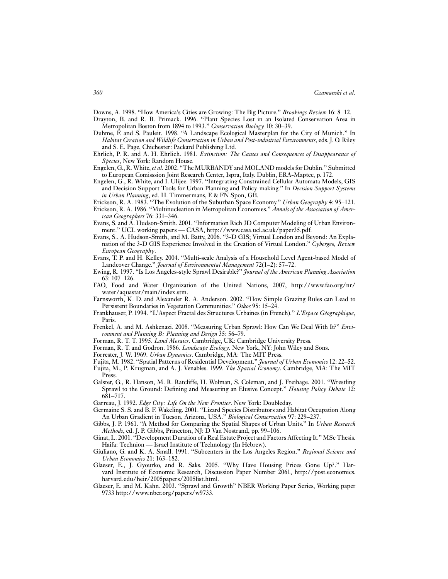Downs, A. 1998. "How America's Cities are Growing: The Big Picture." *Brookings Review* 16: 8–12.

- Drayton, B. and R. B. Primack. 1996. "Plant Species Lost in an Isolated Conservation Area in Metropolitan Boston from 1894 to 1993." *Conservation Biology* 10: 30–39.
- Duhme, F. and S. Pauleit. 1998. "A Landscape Ecological Masterplan for the City of Munich." In *Habitat Creation and Wildlife Conservation in Urban and Post-industrial Environments*, eds. J. O. Riley and S. E. Page, Chichester: Packard Publishing Ltd.
- Ehrlich, P. R. and A. H. Ehrlich. 1981. *Extinction: The Causes and Consequences of Disappearance of Species*, New York: Random House.
- Engelen, G., R. White,*et al.* 2002. "The MURBANDY and MOLAND models for Dublin." Submitted to European Comisssion Joint Research Center, Ispra, Italy. Dublin, ERA-Maptec, p. 172.
- Engelen, G., R. White, and I. Ulijee. 1997. "Integrating Constrained Cellular Automata Models, GIS and Decision Support Tools for Urban Planning and Policy-making." In *Decision Support Systems in Urban Planning*, ed. H. Timmermans, E & FN Spon, GB.
- Erickson, R. A. 1983. "The Evolution of the Suburban Space Economy." *Urban Geography* 4: 95–121.
- Erickson, R. A. 1986. "Multinucleation in Metropolitan Economies." *Annals of the Association of American Geographers* 76: 331–346.
- Evans, S. and A. Hudson-Smith. 2001. "Information Rich 3D Computer Modeling of Urban Environment." UCL working papers — CASA, http://www.casa.ucl.ac.uk/paper35.pdf.
- Evans, S., A. Hudson-Smith, and M. Batty, 2006. "3-D GIS; Virtual London and Beyond: An Explanation of the 3-D GIS Experience Involved in the Creation of Virtual London." *Cybergeo, Review European Geography*.
- Evans, T. P. and H. Kelley. 2004. "Multi-scale Analysis of a Household Level Agent-based Model of Landcover Change." *Journal of Environmental Management* 72(1–2): 57–72.
- Ewing, R. 1997. "Is Los Angeles-style Sprawl Desirable?" *Journal of the American Planning Association* 63: 107–126.
- FAO, Food and Water Organization of the United Nations, 2007, http://www.fao.org/nr/ water/aquastat/main/index.stm.
- Farnsworth, K. D. and Alexander R. A. Anderson. 2002. "How Simple Grazing Rules can Lead to Persistent Boundaries in Vegetation Communities." *Oikos* 95: 15–24.
- Frankhauser, P. 1994. "L'Aspect Fractal des Structures Urbaines (in French)." *L'Espace Géographique*, Paris.
- Frenkel, A. and M. Ashkenazi. 2008. "Measuring Urban Sprawl: How Can We Deal With It?" *Environment and Planning B: Planning and Design* 35: 56–79.
- Forman, R. T. T. 1995. *Land Mosaics*. Cambridge, UK: Cambridge University Press.
- Forman, R. T. and Godron. 1986. *Landscape Ecology*. New York, NY: John Wiley and Sons.
- Forrester, J. W. 1969. *Urban Dynamics*. Cambridge, MA: The MIT Press.
- Fujita, M. 1982. "Spatial Patterns of Residential Development." *Journal of Urban Economics* 12: 22–52.
- Fujita, M., P. Krugman, and A. J. Venables. 1999. *The Spatial Economy*. Cambridge, MA: The MIT Press.
- Galster, G., R. Hanson, M. R. Ratcliffe, H. Wolman, S. Coleman, and J. Freihage. 2001. "Wrestling Sprawl to the Ground: Defining and Measuring an Elusive Concept." *Housing Policy Debate* 12: 681–717.

Garreau, J. 1992. *Edge City: Life On the New Frontier*. New York: Doubleday.

- Germaine S. S. and B. F. Wakeling. 2001. "Lizard Species Distributors and Habitat Occupation Along An Urban Gradient in Tucson, Arizona, USA." *Biological Conservation* 97: 229–237.
- Gibbs, J. P. 1961. "A Method for Comparing the Spatial Shapes of Urban Units." In *Urban Research Methods*, ed. J. P. Gibbs, Princeton, NJ: D Van Nostrand, pp. 99–106.
- Ginat, L. 2001. "Development Duration of a Real Estate Project and Factors Affecting It." MSc Thesis. Haifa: Technion — Israel Institute of Technology (In Hebrew).
- Giuliano, G. and K. A. Small. 1991. "Subcenters in the Los Angeles Region." *Regional Science and Urban Economics* 21: 163–182.
- Glaeser, E., J. Gyourko, and R. Saks. 2005. "Why Have Housing Prices Gone Up?." Harvard Institute of Economic Research, Discussion Paper Number 2061, http://post.economics. harvard.edu/heir/2005papers/2005list.html.
- Glaeser, E. and M. Kahn. 2003. "Sprawl and Growth" NBER Working Paper Series, Working paper 9733 http://www.nber.org/papers/w9733.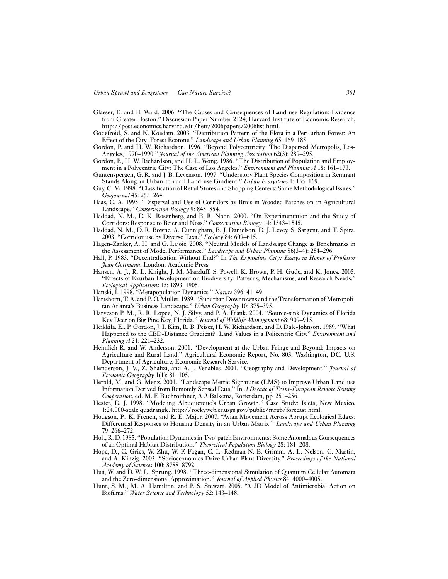- Glaeser, E. and B. Ward. 2006. "The Causes and Consequences of Land use Regulation: Evidence from Greater Boston." Discussion Paper Number 2124, Harvard Institute of Economic Research, http://post.economics.harvard.edu/heir/2006papers/2006list.html.
- Godefroid, S. and N. Koedam. 2003. "Distribution Pattern of the Flora in a Peri-urban Forest: An Effect of the City–Forest Ecotone." *Landscape and Urban Planning* 65: 169–185.
- Gordon, P. and H. W. Richardson. 1996. "Beyond Polycentricity: The Dispersed Metropolis, Los-Angeles, 1970–1990." *Journal of the American Planning Association* 62(3): 289–295.
- Gordon, P., H. W. Richardson, and H. L. Wong. 1986. "The Distribution of Population and Employment in a Polycentric City: The Case of Los Angeles." *Environment and Planning A* 18: 161–173.
- Guntenspergen, G. R. and J. B. Levenson. 1997. "Understory Plant Species Composition in Remnant Stands Along an Urban-to-rural Land-use Gradient." *Urban Ecosystems* 1: 155–169.
- Guy, C. M. 1998. "Classification of Retail Stores and Shopping Centers: Some Methodological Issues." *Geojournal* 45: 255–264.
- Haas, C. A. 1995. "Dispersal and Use of Corridors by Birds in Wooded Patches on an Agricultural Landscape." *Conservation Biology* 9: 845–854.
- Haddad, N. M., D. K. Rosenberg, and B. R. Noon. 2000. "On Experimentation and the Study of Corridors: Response to Beier and Noss." *Conservation Biology* 14: 1543–1545.
- Haddad, N. M., D. R. Bowne, A. Cunnigham, B. J. Danielson, D. J. Levey, S. Sargent, and T. Spira. 2003. "Corridor use by Diverse Taxa." *Ecology* 84: 609–615.
- Hagen-Zanker, A. H. and G. Lajoie. 2008. "Neutral Models of Landscape Change as Benchmarks in the Assessment of Model Performance." *Landscape and Urban Planning* 86(3–4): 284–296.
- Hall, P. 1983. "Decentralization Without End?" In *The Expanding City: Essays in Honor of Professor Jean Gottmann*, London: Academic Press.
- Hansen, A. J., R. L. Knight, J. M. Marzluff, S. Powell, K. Brown, P. H. Gude, and K. Jones. 2005. "Effects of Exurban Development on Biodiversity: Patterns, Mechanisms, and Research Needs." *Ecological Applications* 15: 1893–1905.
- Hanski, I. 1998. "Metapopulation Dynamics." *Nature* 396: 41–49.
- Hartshorn, T. A. and P. O. Muller. 1989. "Suburban Downtowns and the Transformation of Metropolitan Atlanta's Business Landscape." *Urban Geography* 10: 375–395.
- Harveson P. M., R. R. Lopez, N. J. Silvy, and P. A. Frank. 2004. "Source-sink Dynamics of Florida Key Deer on Big Pine Key, Florida." *Journal of Wildlife Management* 68: 909–915.
- Heikkila, E., P. Gordon, J. I. Kim, R. B. Peiser, H. W. Richardson, and D. Dale-Johnson. 1989. "What Happened to the CBD-Distance Gradient?: Land Values in a Policentric City." *Environment and Planning A* 21: 221–232.
- Heimlich R. and W. Anderson. 2001. "Development at the Urban Fringe and Beyond: Impacts on Agriculture and Rural Land." Agricultural Economic Report, No. 803, Washington, DC, U.S. Department of Agriculture, Economic Research Service.
- Henderson, J. V., Z. Shalizi, and A. J. Venables. 2001. "Geography and Development." *Journal of Economic Geography* 1(1): 81–105.
- Herold, M. and G. Menz. 2001. "Landscape Metric Signatures (LMS) to Improve Urban Land use Information Derived from Remotely Sensed Data." In *A Decade of Trans-European Remote Sensing Cooperation*, ed. M. F. Buchroithner, A A Balkema, Rotterdam, pp. 251–256.
- Hester, D. J. 1998. "Modeling Albuquerque's Urban Growth." Case Study: Isleta, New Mexico, 1:24,000-scale quadrangle, http://rockyweb.cr.usgs.gov/public/mrgb/forecast.html.
- Hodgson, P., K. French, and R. E. Major. 2007. "Avian Movement Across Abrupt Ecological Edges: Differential Responses to Housing Density in an Urban Matrix." *Landscape and Urban Planning* 79: 266–272.
- Holt, R. D. 1985. "Population Dynamics in Two-patch Environments: Some Anomalous Consequences of an Optimal Habitat Distribution." *Theoretical Population Biology* 28: 181–208.
- Hope, D., C. Gries, W. Zhu, W. F. Fagan, C. L. Redman N. B. Grimm, A. L. Nelson, C. Martin, and A. Kinzig. 2003. "Socioeconomics Drive Urban Plant Diversity." *Proceedings of the National Academy of Sciences* 100: 8788–8792.
- Hua, W. and D. W. L. Sprung. 1998. "Three-dimensional Simulation of Quantum Cellular Automata and the Zero-dimensional Approximation." *Journal of Applied Physics* 84: 4000–4005.
- Hunt, S. M., M. A. Hamilton, and P. S. Stewart. 2005. "A 3D Model of Antimicrobial Action on Biofilms." *Water Science and Technology* 52: 143–148.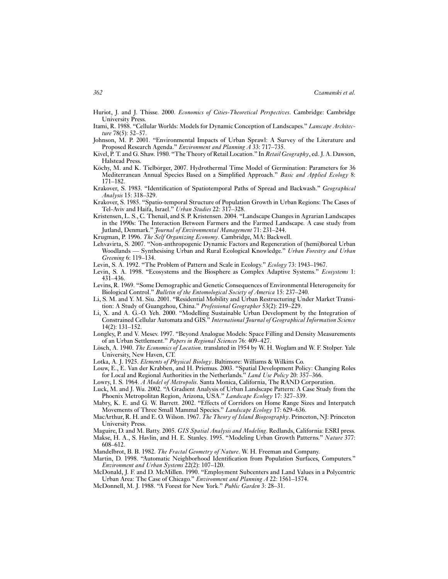Huriot, J. and J. Thisse. 2000. *Economics of Cities-Theoretical Perspectives*. Cambridge: Cambridge University Press.

- Itami, R. 1988. "Cellular Worlds: Models for Dynamic Conception of Landscapes." *Lanscape Architecture* 78(5): 52–57.
- Johnson, M. P. 2001. "Environmental Impacts of Urban Sprawl: A Survey of the Literature and Proposed Research Agenda." *Environment and Planning A* 33: 717–735.
- Kivel, P. T. and G. Shaw. 1980. "The Theory of Retail Location." In*Retail Geography*, ed. J. A. Dawson, Halstead Press.
- Köchy, M. and K. Tielbörger, 2007. Hydrothermal Time Model of Germination: Parameters for 36 Mediterranean Annual Species Based on a Simplified Approach." *Basic and Applied Ecology* 8: 171–182.
- Krakover, S. 1983. "Identification of Spatiotemporal Paths of Spread and Backwash." *Geographical Analysis* 15: 318–329.
- Krakover, S. 1985. "Spatio-temporal Structure of Population Growth in Urban Regions: The Cases of Tel-Aviv and Haifa, Israel." *Urban Studies* 22: 317–328.
- Kristensen, L. S., C. Thenail, and S. P. Kristensen. 2004. "Landscape Changes in Agrarian Landscapes in the 1990s: The Interaction Between Farmers and the Farmed Landscape. A case study from Jutland, Denmark." *Journal of Environmental Management* 71: 231–244.
- Krugman, P. 1996. *The Self Organizing Economy*. Cambridge, MA: Backwell.
- Lehvavirta, S. 2007. "Non-anthropogenic Dynamic Factors and Regeneration of (hemi)boreal Urban Woodlands — Synthesising Urban and Rural Ecological Knowledge." *Urban Forestry and Urban Greening* 6: 119–134.
- Levin, S. A. 1992. "The Problem of Pattern and Scale in Ecology." *Ecology* 73: 1943–1967.
- Levin, S. A. 1998. "Ecosystems and the Biosphere as Complex Adaptive Systems." *Ecosystems* 1: 431–436.
- Levins, R. 1969. "Some Demographic and Genetic Consequences of Environmental Heterogeneity for Biological Control." *Bulletin of the Entomological Society of America* 15: 237–240.
- Li, S. M. and Y. M. Siu. 2001. "Residential Mobility and Urban Restructuring Under Market Transition: A Study of Guangzhou, China." *Professional Geographer* 53(2): 219–229.
- Li, X. and A. G.-O. Yeh. 2000. "Modelling Sustainable Urban Development by the Integration of Constrained Cellular Automata and GIS." *International Journal of Geographical Information Science* 14(2): 131–152.
- Longley, P. and V. Mesev. 1997. "Beyond Analogue Models: Space Filling and Density Measurements of an Urban Settlement." *Papers in Regional Sciences* 76: 409–427.
- Lösch, A. 1940. *The Economics of Location*. translated in 1954 by W. H. Woglam and W. F. Stolper. Yale University, New Haven, CT.
- Lotka, A. J. 1925. *Elements of Physical Biology*. Baltimore: Williams & Wilkins Co.
- Louw, E., E. Van der Krabben, and H. Priemus. 2003. "Spatial Development Policy: Changing Roles for Local and Regional Authorities in the Netherlands." *Land Use Policy* 20: 357–366.
- Lowry, I. S. 1964. *A Model of Metropolis*. Santa Monica, California, The RAND Corporation.
- Luck, M. and J. Wu. 2002. "A Gradient Analysis of Urban Landscape Pattern: A Case Study from the Phoenix Metropolitan Region, Arizona, USA." *Landscape Ecology* 17: 327–339.
- Mabry, K. E. and G. W. Barrett. 2002. "Effects of Corridors on Home Range Sizes and Interpatch Movements of Three Small Mammal Species." *Landscape Ecology* 17: 629–636.
- MacArthur, R. H. and E. O. Wilson. 1967. *The Theory of Island Biogeography*. Princeton, NJ: Princeton University Press.
- Maguire, D. and M. Batty. 2005. *GIS Spatial Analysis and Modeling*. Redlands, California: ESRI press.
- Makse, H. A., S. Havlin, and H. E. Stanley. 1995. "Modeling Urban Growth Patterns." *Nature* 377: 608–612.
- Mandelbrot, B. B. 1982. *The Fractal Geometry of Nature*. W. H. Freeman and Company.
- Martin, D. 1998. "Automatic Neighborhood Identification from Population Surfaces, Computers." *Environment and Urban Systems* 22(2): 107–120.
- McDonald, J. F. and D. McMillen. 1990. "Employment Subcenters and Land Values in a Polycentric Urban Area: The Case of Chicago." *Environment and Planning A* 22: 1561–1574.
- McDonnell, M. J. 1988. "A Forest for New York." *Public Garden* 3: 28–31.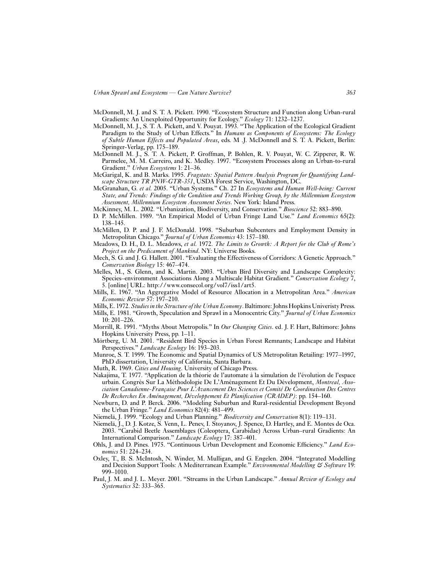- McDonnell, M. J. and S. T. A. Pickett. 1990. "Ecosystem Structure and Function along Urban-rural Gradients: An Unexploited Opportunity for Ecology." *Ecology* 71: 1232–1237.
- McDonnell, M. J., S. T. A. Pickett, and V. Pouyat. 1993. "The Application of the Ecological Gradient Paradigm to the Study of Urban Effects." In *Humans as Components of Ecosystems: The Ecology of Subtle Human Effects and Populated Areas*, eds. M .J. McDonnell and S. T. A. Pickett, Berlin: Springer-Verlag, pp. 175–189.
- McDonnell M. J., S. T. A. Pickett, P. Groffman, P. Bohlen, R. V. Pouyat, W. C. Zipperer, R. W. Parmelee, M. M. Carreiro, and K. Medley. 1997. "Ecosystem Processes along an Urban-to-rural Gradient." *Urban Ecosystems* 1: 21–36.
- McGarigal, K. and B. Marks. 1995. *Fragstats: Spatial Pattern Analysis Program for Quantifying Landscape Structure TR PNW-GTR-351*, USDA Forest Service, Washington, DC.
- McGranahan, G. *et al.* 2005. "Urban Systems." Ch. 27 In *Ecosystems and Human Well-being: Current State, and Trends: Findings of the Condition and Trends Working Group, by the Millennium Ecosystem Assessment, Millennium Ecosystem Assessment Series*. New York: Island Press.
- McKinney, M. L. 2002. "Urbanization, Biodiversity, and Conservation." *Bioscience* 52: 883–890.
- D. P. McMillen. 1989. "An Empirical Model of Urban Fringe Land Use." *Land Economics* 65(2): 138–145.
- McMillen, D. P. and J. F. McDonald. 1998. "Suburban Subcenters and Employment Density in Metropolitan Chicago." *Journal of Urban Economics* 43: 157–180.
- Meadows, D. H., D. L. Meadows, *et al.* 1972. *The Limits to Growth: A Report for the Club of Rome's Project on the Predicament of Mankind*. NY: Universe Books.
- Mech, S. G. and J. G. Hallett. 2001. "Evaluating the Effectiveness of Corridors: A Genetic Approach." *Conservation Biology* 15: 467–474.
- Melles, M., S. Glenn, and K. Martin. 2003. "Urban Bird Diversity and Landscape Complexity: Species–environment Associations Along a Multiscale Habitat Gradient." *Conservation Ecology* 7, 5. [online] URL: http://www.consecol.org/vol7/iss1/art5.
- Mills, E. 1967. "An Aggregative Model of Resource Allocation in a Metropolitan Area." *American Economic Review* 57: 197–210.

Mills, E. 1972. *Studies in the Structure of the Urban Economy*. Baltimore: Johns Hopkins Univeristy Press.

- Mills, E. 1981. "Growth, Speculation and Sprawl in a Monocentric City." *Journal of Urban Economics* 10: 201–226.
- Morrill, R. 1991. "Myths About Metropolis." In *Our Changing Cities*. ed. J. F. Hart, Baltimore: Johns Hopkins University Press, pp. 1–11.
- Mörtberg, U. M. 2001. "Resident Bird Species in Urban Forest Remnants; Landscape and Habitat Perspectives." *Landscape Ecology* 16: 193–203.
- Munroe, S. T. 1999. The Economic and Spatial Dynamics of US Metropolitan Retailing: 1977–1997, PhD dissertation, University of California, Santa Barbara.
- Muth, R. 1969. *Cities and Housing*. University of Chicago Press.
- Nakajima, T. 1977. "Application de la théorie de l'automate à la simulation de l'évolution de l'espace urbain. Congrès Sur La Méthodologie De L'Aménagement Et Du Dévelopment, *Montreal, Association Canadienne-Française Pour L'Avancement Des Sciences et Comité De Coordination Des Centres De Recherches En Aménagement, Développement Et Planification (CRADEP)*: pp. 154–160.
- Newburn, D. and P. Berck. 2006. "Modeling Suburban and Rural-residential Development Beyond the Urban Fringe." *Land Economics* 82(4): 481–499.
- Niemelä, J. 1999. "Ecology and Urban Planning." *Biodiversity and Conservation* 8(1): 119–131.
- Niemelä, J., D. J. Kotze, S. Venn, L. Penev, I. Stoyanov, J. Spence, D. Hartley, and E. Montes de Oca. 2003. "Carabid Beetle Assemblages (Coleoptera, Carabidae) Across Urban–rural Gradients: An International Comparison." *Landscape Ecology* 17: 387–401.
- Ohls, J. and D. Pines. 1975. "Continuous Urban Development and Economic Efficiency." *Land Economics* 51: 224–234.
- Oxley, T., B. S. McIntosh, N. Winder, M. Mulligan, and G. Engelen. 2004. "Integrated Modelling and Decision Support Tools: A Mediterranean Example." *Environmental Modelling & Software* 19: 999–1010.
- Paul, J. M. and J. L. Meyer. 2001. "Streams in the Urban Landscape." *Annual Review of Ecology and Systematics* 32: 333–365.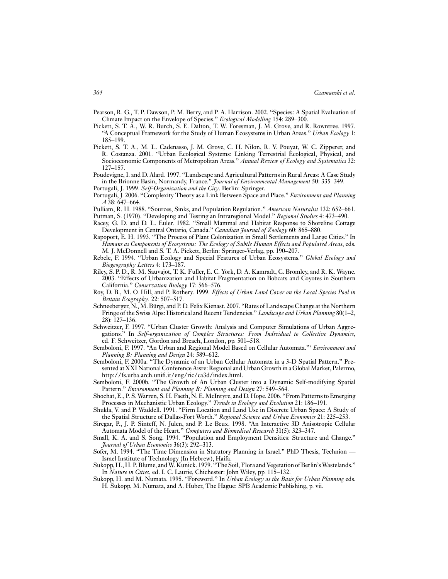- Pearson, R. G., T. P. Dawson, P. M. Berry, and P. A. Harrison. 2002. "Species: A Spatial Evaluation of Climate Impact on the Envelope of Species." *Ecological Modelling* 154: 289–300.
- Pickett, S. T. A., W. R. Burch, S. E. Dalton, T. W. Foresman, J. M. Grove, and R. Rowntree. 1997. "A Conceptual Framework for the Study of Human Ecosystems in Urban Areas." *Urban Ecology* 1: 185–199.
- Pickett, S. T. A., M. L. Cadenasso, J. M. Grove, C. H. Nilon, R. V. Pouyat, W. C. Zipperer, and R. Costanza. 2001. "Urban Ecological Systems: Linking Terrestrial Ecological, Physical, and Socioeconomic Components of Metropolitan Areas." *Annual Review of Ecology and Systematics* 32: 127–157.
- Poudevigne, I. and D. Alard. 1997. "Landscape and Agricultural Patterns in Rural Areas: A Case Study in the Brionne Basin, Normandy, France." *Journal of Environmental Management* 50: 335–349.
- Portugali, J. 1999. *Self-Organization and the City*. Berlin: Springer.
- Portugali, J. 2006. "Complexity Theory as a Link Between Space and Place." *Environment and Planning A* 38: 647–664.
- Pulliam, R. H. 1988. "Sources, Sinks, and Population Regulation." *American Naturalist* 132: 652–661.
- Putman, S. (1970). "Developing and Testing an Intraregional Model." *Regional Studies* 4: 473–490.
- Racey, G. D. and D. L. Euler. 1982. "Small Mammal and Habitat Response to Shoreline Cottage Development in Central Ontario, Canada." *Canadian Journal of Zoology* 60: 865–880.
- Rapoport, E. H. 1993. "The Process of Plant Colonization in Small Settlements and Large Cities." In *Humans as Components of Ecosystems: The Ecology of Subtle Human Effects and Populated Areas*, eds. M. J. McDonnell and S. T. A. Pickett, Berlin: Springer-Verlag, pp. 190–207.
- Rebele, F. 1994. "Urban Ecology and Special Features of Urban Ecosystems." *Global Ecology and Biogeography Letters* 4: 173–187.
- Riley, S. P. D., R. M. Sauvajot, T. K. Fuller, E. C. York, D. A. Kamradt, C. Bromley, and R. K. Wayne. 2003. "Effects of Urbanization and Habitat Fragmentation on Bobcats and Coyotes in Southern California." *Conservation Biology* 17: 566–576.
- Roy, D. B., M. O. Hill, and P. Rothery. 1999. *Effects of Urban Land Cover on the Local Species Pool in Britain Ecography*. 22: 507–517.
- Schneeberger, N.,M. Bürgi, and P. D. Felix Kienast. 2007. "Rates of Landscape Change at the Northern Fringe of the Swiss Alps: Historical and Recent Tendencies." *Landscape and Urban Planning* 80(1–2, 28): 127–136.
- Schweitzer, F. 1997. "Urban Cluster Growth: Analysis and Computer Simulations of Urban Aggregations." In *Self-organization of Complex Structures: From Individual to Collective Dynamics*, ed. F. Schweitzer, Gordon and Breach, London, pp. 501–518.
- Semboloni, F. 1997. "An Urban and Regional Model Based on Cellular Automata."' *Environment and Planning B: Planning and Design* 24: 589–612.
- Semboloni, F. 2000a. "The Dynamic of an Urban Cellular Automata in a 3-D Spatial Pattern." Presented at XXI National Conference Aisre: Regional and Urban Growth in a Global Market, Palermo, http://fs.urba.arch.unifi.it/eng/ric/ca3d/index.html.
- Semboloni, F. 2000b. "The Growth of An Urban Cluster into a Dynamic Self-modifying Spatial Pattern." *Environment and Planning B: Planning and Design* 27: 549–564.
- Shochat, E., P. S. Warren, S. H. Faeth, N. E. McIntyre, and D. Hope. 2006. "From Patterns to Emerging Processes in Mechanistic Urban Ecology." *Trends in Ecology and Evolution* 21: 186–191.
- Shukla, V. and P. Waddell. 1991. "Firm Location and Land Use in Discrete Urban Space: A Study of the Spatial Structure of Dallas-Fort Worth." *Regional Science and Urban Economics* 21: 225–253.
- Siregar, P., J. P. Sinteff, N. Julen, and P. Le Beux. 1998. "An Interactive 3D Anisotropic Cellular Automata Model of the Heart." *Computers and Biomedical Research* 31(5): 323–347.
- Small, K. A. and S. Song. 1994. "Population and Employment Densities: Structure and Change." *Journal of Urban Economics* 36(3): 292–313.
- Sofer, M. 1994. "The Time Dimension in Statutory Planning in Israel." PhD Thesis, Technion Israel Institute of Technology (In Hebrew), Haifa.
- Sukopp, H., H. P. Blume, and W. Kunick. 1979. "The Soil, Flora and Vegetation of Berlin's Wastelands." In *Nature in Cities*, ed. I. C. Laurie, Chichester: John Wiley, pp. 115–132.
- Sukopp, H. and M. Numata. 1995. "Foreword." In *Urban Ecology as the Basis for Urban Planning* eds. H. Sukopp, M. Numata, and A. Huber, The Hague: SPB Academic Publishing, p. vii.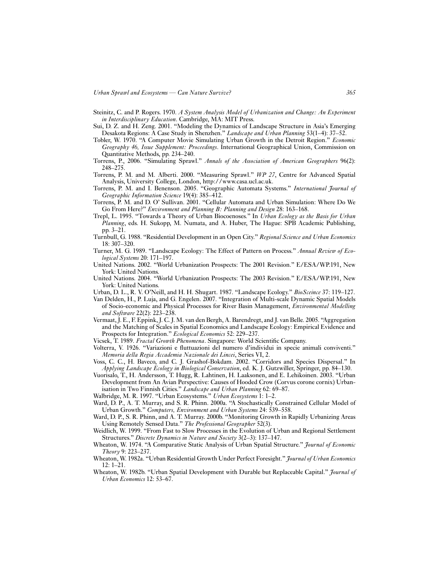- Steinitz, C. and P. Rogers. 1970. *A System Analysis Model of Urbanization and Change: An Experiment in Interdisciplinary Education*. Cambridge, MA: MIT Press.
- Sui, D. Z. and H. Zeng. 2001. "Modeling the Dynamics of Landscape Structure in Asia's Emerging Desakota Regions: A Case Study in Shenzhen." *Landscape and Urban Planning* 53(1–4): 37–52.
- Tobler, W. 1970. "A Computer Movie Simulating Urban Growth in the Detroit Region." *Economic Geography 46, Issue Supplement: Proceedings*. International Geographical Union, Commission on Quantitative Methods, pp. 234–240.
- Torrens, P., 2006. "Simulating Sprawl." *Annals of the Association of American Geographers* 96(2): 248–275.
- Torrens, P. M. and M. Alberti. 2000. "Measuring Sprawl." *WP 27*, Centre for Advanced Spatial Analysis, University College, London, http://www.casa.ucl.ac.uk.
- Torrens, P. M. and I. Benenson. 2005. "Geographic Automata Systems." *International Journal of Geographic Information Science* 19(4): 385–412.
- Torrens, P. M. and D. O' Sullivan. 2001. "Cellular Automata and Urban Simulation: Where Do We Go From Here?" *Environment and Planning B: Planning and Design* 28: 163–168.
- Trepl, L. 1995. "Towards a Theory of Urban Biocoenoses." In *Urban Ecology as the Basis for Urban Planning*, eds. H. Sukopp, M. Numata, and A. Huber, The Hague: SPB Academic Publishing, pp. 3–21.
- Turnbull, G. 1988. "Residential Development in an Open City." *Regional Science and Urban Economics* 18: 307–320.
- Turner, M. G. 1989. "Landscape Ecology: The Effect of Pattern on Process." *Annual Review of Ecological Systems* 20: 171–197.
- United Nations. 2002. "World Urbanization Prospects: The 2001 Revision." E/ESA/WP.191, New York: United Nations.
- United Nations. 2004. "World Urbanization Prospects: The 2003 Revision." E/ESA/WP.191, New York: United Nations.
- Urban, D. L., R. V. O'Neill, and H. H. Shugart. 1987. "Landscape Ecology." *BioSceince* 37: 119–127.
- Van Delden, H., P. Luja, and G. Engelen. 2007. "Integration of Multi-scale Dynamic Spatial Models of Socio-economic and Physical Processes for River Basin Management, *Environmental Modelling and Software* 22(2): 223–238.
- Vermaat, J. E., F. Eppink, J. C. J. M. van den Bergh, A. Barendregt, and J. van Belle. 2005. "Aggregation and the Matching of Scales in Spatial Economics and Landscape Ecology: Empirical Evidence and Prospects for Integration." *Ecological Economics* 52: 229–237.
- Vicsek, T. 1989. *Fractal Growth Phenomena*. Singapore: World Scientific Company.
- Volterra, V. 1926. "Variazioni e fluttuazioni del numero d'individui in specie animali conviventi." *Memoria della Regia Accademia Nazionale dei Lincei*, Series VI, 2.
- Voss, C. C., H. Baveco, and C. J. Grashof-Bokdam. 2002. "Corridors and Species Dispersal." In *Applying Landscape Ecology in Biological Conservation*, ed. K. J. Gutzwiller, Springer, pp. 84–130.
- Vuorisalo, T., H. Andersson, T. Hugg, R. Lahtinen, H. Laaksonen, and E. Lehikoinen. 2003. "Urban Development from An Avian Perspective: Causes of Hooded Crow (Corvus corone cornix) Urbanisation in Two Finnish Cities." *Landscape and Urban Planning* 62: 69–87.
- Walbridge, M. R. 1997. "Urban Ecosystems." *Urban Ecosystems* 1: 1–2.
- Ward, D. P., A. T. Murray, and S. R. Phinn. 2000a. "A Stochastically Constrained Cellular Model of Urban Growth." *Computers, Environment and Urban Systems* 24: 539–558.
- Ward, D. P., S. R. Phinn, and A. T. Murray. 2000b. "Monitoring Growth in Rapidly Urbanizing Areas Using Remotely Sensed Data." *The Professional Geographer* 52(3).
- Weidlich, W. 1999. "From Fast to Slow Processes in the Evolution of Urban and Regional Settlement Structures." *Discrete Dynamics in Nature and Society* 3(2–3): 137–147.
- Wheaton, W. 1974. "A Comparative Static Analysis of Urban Spatial Structure." *Journal of Economic Theory* 9: 223–237.
- Wheaton, W. 1982a. "Urban Residential Growth Under Perfect Foresight." *Journal of Urban Economics*  $12: 1 - 21.$
- Wheaton, W. 1982b. "Urban Spatial Development with Durable but Replaceable Capital." *Journal of Urban Economics* 12: 53–67.